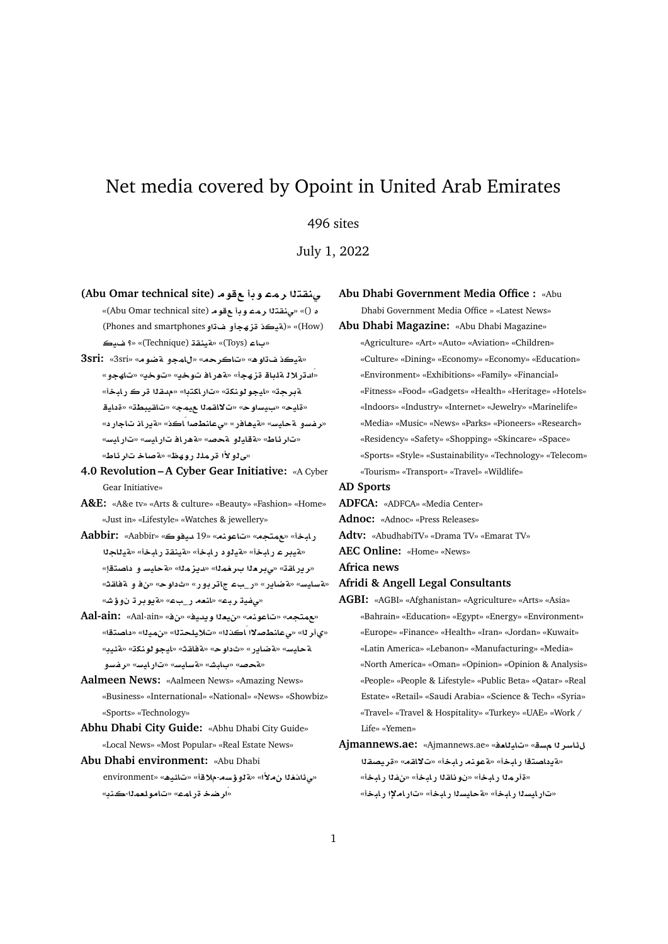# Net media covered by Opoint in United Arab Emirates

# 496 sites

July 1, 2022

- **(Abu Omar technical site) w w mr tqn¨** «(Abu Omar technical site) **w w mr tqn¨**» «() **£** (Phones and smartphones**¤ ¤hz ÐyT**)» «(How) **y ?**» «(Technique) **qnyT**» «(Toys) **A** »
- **3sri:** «3sri» «**wRT ¤mA**» «**rA**» «**¡w ÐyT**» «ادتر لالـ ةلباقـ قز هجأ» «ةهر افـ تـوخي» «تـالهجو» «**bAC r qd**» «**tkAC**» «**knwwyA**» «**rT yA** » «**WbyqA**» «**my mqA¯**» «**wFy** » «**yA**» «**ر فسو ةحايس» «ةيهافر» «ىعانطصا اَكذ» «ةير ان تاجار د»** «**FyAC**» «**FyAC AC¡T**» «**}T ¤yAT**» «**VA¶r**» «مى لو لأا قرملة روھظ» «**¤صاخ تار ئاط**»
- **4.0 Revolution A Cyber Gear Initiative:** «A Cyber Gear Initiative»
- **A&E:** «A&e tv» «Arts & culture» «Beauty» «Fashion» «Home» «Just in» «Lifestyle» «Watches & jewellery»
- **Aabbir:** «Aabbir» «**wyd** 19» «**nwA**» «**tm**» «**bAC** «هيبر عربابخأ» «هيلود ربابخأ» «هينقة ربابخأ» «هيللجلا «**ريراق**ڌ» «ي<mark>برھلا برخملل» «ديزملل» «ةحايس و داصت</mark>قإ» «قسايس» «قضاير» «ر\_بء جاتر بور» «ثداوح» «ن ف و نقطقته» «م*لفية ربع»* «انعه رب بء» «ةيوبرة ن وؤش»
- **Aal-ain:** «Aal-ain» «» «**yd§w `y**» «**nwA**» «**tm**» «ي أر لل» «ي عائطصلاًا ـُاكذلك» «تلايلحتلًا» «نميلًا» «داصتقًا» «**y·T**» «**knwwyA**» «**qAT**» «**w** » «**C§ART**» «**FyAT ¤Ffr**» «**FyAC**» «**FyAFT**» «**JbA** » «**}T**»
- **Aalmeen News:** «Aalmeen News» «Amazing News» «Business» «International» «National» «News» «Showbiz» «Sports» «Technology»
- **Abhu Dhabi City Guide:** «Abhu Dhabi City Guide» «Local News» «Most Popular» «Real Estate News»
- **Abu Dhabi environment:** «Abu Dhabi environment» «**¡y·A**» «**®**-**s¥¤T**» «**± @¶¨**» «**ار ضخ ةر ام**ڪ» «تامو لعماللڪند»

**Abu Dhabi Government Media Office :** «Abu Dhabi Government Media Office » «Latest News»

**Abu Dhabi Magazine:** «Abu Dhabi Magazine» «Agriculture» «Art» «Auto» «Aviation» «Children» «Culture» «Dining» «Economy» «Economy» «Education» «Environment» «Exhibitions» «Family» «Financial» «Fitness» «Food» «Gadgets» «Health» «Heritage» «Hotels» «Indoors» «Industry» «Internet» «Jewelry» «Marinelife» «Media» «Music» «News» «Parks» «Pioneers» «Research» «Residency» «Safety» «Shopping» «Skincare» «Space» «Sports» «Style» «Sustainability» «Technology» «Telecom» «Tourism» «Transport» «Travel» «Wildlife»

- **AD Sports**
- **ADFCA:** «ADFCA» «Media Center»
- **Adnoc:** «Adnoc» «Press Releases»
- **Adtv:** «AbudhabiTV» «Drama TV» «Emarat TV»

**AEC Online:** «Home» «News»

**Africa news**

# **Afridi & Angell Legal Consultants**

**AGBI:** «AGBI» «Afghanistan» «Agriculture» «Arts» «Asia» «Bahrain» «Education» «Egypt» «Energy» «Environment» «Europe» «Finance» «Health» «Iran» «Jordan» «Kuwait» «Latin America» «Lebanon» «Manufacturing» «Media» «North America» «Oman» «Opinion» «Opinion & Analysis» «People» «People & Lifestyle» «Public Beta» «Qatar» «Real Estate» «Retail» «Saudi Arabia» «Science & Tech» «Syria» «Travel» «Travel & Hospitality» «Turkey» «UAE» «Work / Life» «Yemen»

**Ajmannews.ae:** «Ajmannews.ae» «**`AyA**» «**s rFA¶** «قدداصتقا ر ابخأ» «قعونه ر ابخأ» «ت¥اقم» «قر يصقلا «قأر ما رايخأ» «نوناقا ارايخأ» «نفا رايخأ» «تار ليسنا ر لبخأ» «aحليسنا ر لبخأ» «تار لعلاً ر لبخأ»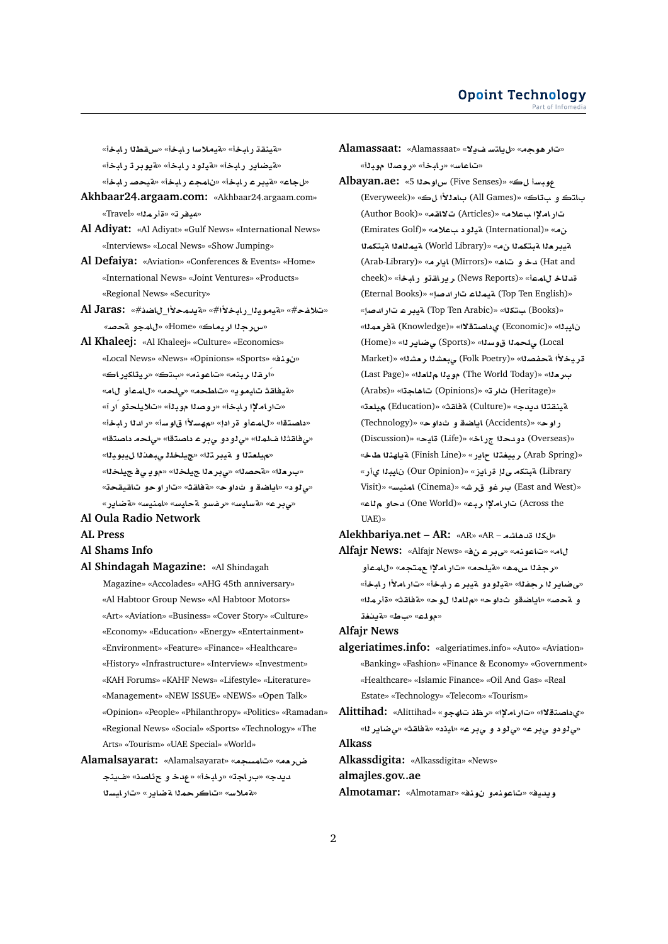«**فينقة رابخأ» «فيملاسا رابخأ» «س قطنا رابخ**أ» «**فيضاير رابخأ» «فيلود رابخأ» «فيوبر ت**رابخأ» «لجاع» «قيدر عار ابخأ» «نامحه رابخأ» «قيحصار ابخأ»

- **Akhbaar24.argaam.com:** «Akhbaar24.argaam.com» «Travel» «**mr**» «**ry¢**»
- **Al Adiyat:** «Al Adiyat» «Gulf News» «International News» «Interviews» «Local News» «Show Jumping»
- **Al Defaiya:** «Aviation» «Conferences & Events» «Home» «International News» «Joint Ventures» «Products» «Regional News» «Security»
- **Al Jaras:** «#**SA**\_**±md§T**» «#**±bAC**\_**ywyT**» «#**f®**» «**سرج**ٽا اريماڪ» «Home» «لامجو مقحصه
- **Al Khaleej:** «Al Khaleej» «Culture» «Economics» «Local News» «News» «Opinions» «Sports» «**nw** » «**ار ق**لار بنه» «تاعونه» «ستڪ» «ريتاکدر اڪ» «بة يفاقدُ تايمو بـ» «تاطحم» «يلحم» «للمعأو للم» «تار املإا رابخأ» «روصلا موبلة» «تلايلحتو ار آ» «داصتقا» «ل\معأو قرادإ» «مه*س*لاًا ق|وسأ» «رادلا رلبخأ» «مى فاقثلا فلمله» «مى لو دو مى بر عداصتقا» «مى لحمد داصتقا» «ميلعتلا و ميبر تل<sup>ا»</sup> «جيلخلل *ي*بهدلا ليبويلا» «ب.ر مـزا» «مةحصـزا» «ي.بـر مـزا ـجيلـخـزا» «مو يـ ي فـجيلـخـزا» «بي<sup>1</sup>و د» «اياضة و ثداو ح» «aّفاقة» «تار أو حو تاقيقحة» «م.<mark>و ع» «ةسايسه «رفسو ةحايسه «امنيسه «ةضاير»</mark>

# **Al Oula Radio Network**

**AL Press**

#### **Al Shams Info**

- **Al Shindagah Magazine:** «Al Shindagah
	- Magazine» «Accolades» «AHG 45th anniversary» «Al Habtoor Group News» «Al Habtoor Motors» «Art» «Aviation» «Business» «Cover Story» «Culture» «Economy» «Education» «Energy» «Entertainment» «Environment» «Feature» «Finance» «Healthcare» «History» «Infrastructure» «Interview» «Investment» «KAH Forums» «KAHF News» «Lifestyle» «Literature» «Management» «NEW ISSUE» «NEWS» «Open Talk» «Opinion» «People» «Philanthropy» «Politics» «Ramadan» «Regional News» «Social» «Sports» «Technology» «The Arts» «Tourism» «UAE Special» «World»

# **Alamalsayarat:** «Alamalsayarat» «**smA**» «**`r|** ديدج» «براجة» «رابخأ» «عدخ و ع<sup></sup>ئاصن<sup>» «</sup>فينج «**ةملاس» «تاكر حملا ةضاير» «تار ايسلا**

**Alamassaat:** «Alamassaat» «**¯§ FtA§**» «**w¡r**» «تاعاس» «رابخأ» «روصلا موبلأ»

**Albayan.ae:** «5 **wx** (Five Senses)» « **Fbw** باټڪ و ب**تاڪ» «(All Games) بادلاا ل**ڪ» «(Everyweek) (Author Book)» «**qA¯** (Articles)» «**® ³AC** (Emirates Golf)» «**® ¤yT** (International)» « قي**در م**ثا قبتكمثا ن0» «(World Library) قيمثلمثا قبتكمثا (Arab-Library)» «**r§A** (Mirrors)» «**¡A ¤ d** (Hat and cheek)» «**bAC ¤qAC§r** (News Reports)» «**mA Ad** (Eternal Books)» «**}dC AmyT** (Top Ten English)» «Books) بتكل<sup>ه»</sup> «Top Ten Arabic) ) تميير عاتار ادصا «**m`rT** (Knowledge)» «**¯tOA ©** (Economic)» «**byA**  (Home)» «**r§AR¨** (Sports)» «**sw ml¨** (Local  $\text{Market}$ )» «بيخلأا متحفصلا» «Folk Poetry)) مبعشلا رمشلا» (Last Page)» «**`A yw** (The World Today)» «**`r**  (Arabs)» «**A¡A** (Opinions)» «**r** (Heritage)» «**`ly** (Education)» «**qAT** (Culture)» «**d§d tqnyT** (Technology)» «**w ¤ SA§A** (Accidents)» «**wC** (Discussion)» «**yA** (Life)» «**AC d¤** (Overseas)» «Arab Spring) رييغت**ن**ا حاير» «Finish Line) **ةياهن**نا طخ» «**C© byA**  (Our Opinion)» «**E§AC Y ktbT** (Library Visit)» «**FynmA** (Cinema)» «**Jr ¤r**  (East and West)» «**A ¤d** (One World)» «**br ³AC** (Across the UAE)»

**Alekhbariya.net – AR:** «AR» «AR – **KA¡d k**»

**Alfajr News:** «Alfajr News» « **rY**» «**nwA**» «**A** «**رجف**نا س0هه» «قيلحه» «تاراملإا م0تجه» «ل|مءأو «مى ضاير 1ا رجفنا» «ةينو دو ةيبر عار بابخا» «تار املأا رابخاً» و  $\bar{\mathbf{s}}$ حص» «اياضقو ثداوح» «م<sup>ل</sup>املا ل0وح» «ةفاقث» «ةأرملا» **@§T**» «**V** » «**lw**»

**Alfajr News**

**algeriatimes.info:** «algeriatimes.info» «Auto» «Aviation» «Banking» «Fashion» «Finance & Economy» «Government» «Healthcare» «Islamic Finance» «Oil And Gas» «Real Estate» «Technology» «Telecom» «Tourism»

**Alittihad:** «Alittihad» «**¤hA \r**» «**³AC**» «**¯tOA ©**» «*بي او دو پ بر ع» «ي او د و پ بر ع» «اي*ند» «*ة فاق***ث» «***ي ض***اير ل**ه» **Alkass**

**Alkassdigita:** «Alkassdigita» «News»

**almajles.gov..ae**

**Almotamar:** «Almotamar» «**nw ¤nwA**» «**yd§w**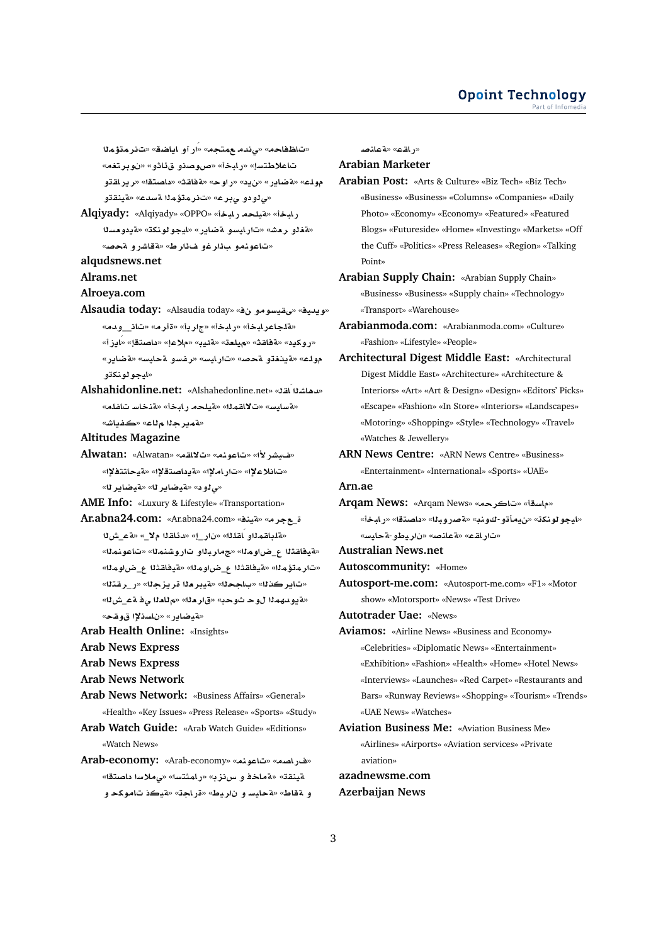«تاظفاحه» «ىندمـــعمتجه» «ار آو ـايــاضق» «تــنرـمـتؤـمـلا «**trw** » «**¤A¶ ¤OwQ**» «**bAC**» «**FtW®A ¤qAC§r**» «**tOA** » «**qAT**» «**wC**» « **§**» «**C§ART**» «**lw** «*ق 1*و دو چېر ع» «تائر ماتوٌ ماله قسدع» «قينقاتو **Alqiyady:** «Alqiyady» «OPPO» «**bAC lyT**» «**bAC** «هقلو رعش» «تار ايسو مقصادر » «ايجو لونكة» «مقددوعسلا «تاعونه و ب**أر غو ف**ألرط» «ةقاشر و محصه **alqudsnews.net Alrams.net Alroeya.com** Alsaudia today: «Alsaudia today» «في قياسو موني<sup>ة</sup>» «Alsaudia today» «هلجاعر لبخأ» «رابخأ» «جاربأ» «قارم» «تان<sub>ّ—</sub>وممه» «روكيد» «ةفاقت» «ميلعت» «ةئيب» «ملاعإ» «داصتقإ» «ايز أ» «**C§ART**» «**FyAT ¤Ffr**» «**FyAC**» «**}T ¤@§T**» «**lw** «**ايجو لو نك**تو **Alshahidonline.net:** «Alshahedonline.net» «**qAÁ KA¡d**» «**lfA FAnT**» «**bAC lyT**» «**mqA¯**» «**FyAFT**» .<br>«**ت**ميرجلا ملاع» «ڪفياش» **Altitudes Magazine Alwatan:** «Alwatan» «**qA¯**» «**nwA**» «**±CJy**» «تانلاع<sup>لاٍ</sup>» «تاراملاٍ!» «ةيداصتةلاٍ!» «ةيحاتتفلاً!» «**بي لو د» «ةيضاير ل**ا» «<mark>ةيضاير ل</mark>ا» **AME Info:** «Luxury & Lifestyle» «Transportation» **Ar.abna24.com:** «Ar.abna24.com» «**nyT**» «**r**\_ «هلطقمالو اَقلاله» «نار اِ» «دئاقال مِلاَ » «قصش لا «هيفا**قث**لا ع\_ضاوملا» «جماربلاو تاروشنملا» «تاعونملا» «تار متؤمل<sup>» «</sup>تيفاقثلا ع\_ضاوملل» «قيفاقثلا ع\_ضاوملل» «تاير كذل<sup>ا» «ب</sup>اجحل<sup>ا» «</sup>قيبر ملا قريز جل<sup>ا» «</sup>ر\_رفتل<sup>ا»</sup> «**L**\_**T ¨ `A**» «**`r**» «**w w mhd¤§T**» «**متيضاير» «ناسدلإا قو**هح» **Arab Health Online:** «Insights»

- **Arab News Express**
- **Arab News Express**
- **Arab News Network**
- **Arab News Network:** «Business Affairs» «General» «Health» «Key Issues» «Press Release» «Sports» «Study»
- **Arab Watch Guide:** «Arab Watch Guide» «Editions» «Watch News»
- **Arab-economy:** «Arab-economy» «**nwA**» «**OAC**» «**tOA F®¨**» «**FtmAC**» «**zH ¤ AT**» «**qnyT** و aقاط» «قحايسو ناريط» «قراجة» «قيكذ تاموكحو

**}nAT**» «**qAC**»

# **Arabian Marketer**

- **Arabian Post:** «Arts & Culture» «Biz Tech» «Biz Tech» «Business» «Business» «Columns» «Companies» «Daily Photo» «Economy» «Economy» «Featured» «Featured Blogs» «Futureside» «Home» «Investing» «Markets» «Off the Cuff» «Politics» «Press Releases» «Region» «Talking Point»
- **Arabian Supply Chain:** «Arabian Supply Chain» «Business» «Business» «Supply chain» «Technology» «Transport» «Warehouse»
- **Arabianmoda.com:** «Arabianmoda.com» «Culture» «Fashion» «Lifestyle» «People»
- **Architectural Digest Middle East:** «Architectural Digest Middle East» «Architecture» «Architecture & Interiors» «Art» «Art & Design» «Design» «Editors' Picks» «Escape» «Fashion» «In Store» «Interiors» «Landscapes» «Motoring» «Shopping» «Style» «Technology» «Travel» «Watches & Jewellery»
- **ARN News Centre:** «ARN News Centre» «Business» «Entertainment» «International» «Sports» «UAE»

**Arn.ae**

- **Arqam News:** «Arqam News» «**rA**» «**sA**» «لي**جو لونك**ڌ» «نيمأتو-كونڊ» «**ةصروبـلا» «داصتقا» «رابـخ**أ» «**FyAT**-**¤Vyr** » «**}nAT**» «**qAC**»
- **Australian News.net**
- **Autoscommunity:** «Home»
- **Autosport-me.com:** «Autosport-me.com» «F1» «Motor show» «Motorsport» «News» «Test Drive»
- **Autotrader Uae:** «News»
- **Aviamos:** «Airline News» «Business and Economy» «Celebrities» «Diplomatic News» «Entertainment» «Exhibition» «Fashion» «Health» «Home» «Hotel News» «Interviews» «Launches» «Red Carpet» «Restaurants and Bars» «Runway Reviews» «Shopping» «Tourism» «Trends» «UAE News» «Watches»
- **Aviation Business Me:** «Aviation Business Me» «Airlines» «Airports» «Aviation services» «Private aviation»

**azadnewsme.com Azerbaijan News**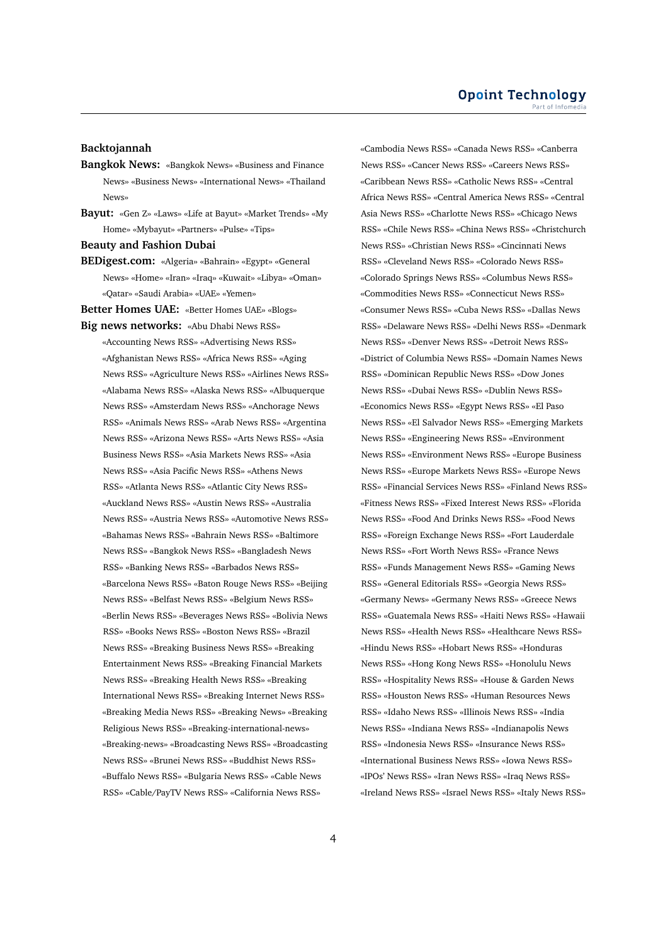# **Backtojannah**

- **Bangkok News:** «Bangkok News» «Business and Finance News» «Business News» «International News» «Thailand News»
- **Bayut:** «Gen Z» «Laws» «Life at Bayut» «Market Trends» «My Home» «Mybayut» «Partners» «Pulse» «Tips»
- **Beauty and Fashion Dubai**
- **BEDigest.com:** «Algeria» «Bahrain» «Egypt» «General News» «Home» «Iran» «Iraq» «Kuwait» «Libya» «Oman» «Qatar» «Saudi Arabia» «UAE» «Yemen»

**Better Homes UAE:** «Better Homes UAE» «Blogs» **Big news networks:** «Abu Dhabi News RSS»

«Accounting News RSS» «Advertising News RSS» «Afghanistan News RSS» «Africa News RSS» «Aging News RSS» «Agriculture News RSS» «Airlines News RSS» «Alabama News RSS» «Alaska News RSS» «Albuquerque News RSS» «Amsterdam News RSS» «Anchorage News RSS» «Animals News RSS» «Arab News RSS» «Argentina News RSS» «Arizona News RSS» «Arts News RSS» «Asia Business News RSS» «Asia Markets News RSS» «Asia News RSS» «Asia Pacific News RSS» «Athens News RSS» «Atlanta News RSS» «Atlantic City News RSS» «Auckland News RSS» «Austin News RSS» «Australia News RSS» «Austria News RSS» «Automotive News RSS» «Bahamas News RSS» «Bahrain News RSS» «Baltimore News RSS» «Bangkok News RSS» «Bangladesh News RSS» «Banking News RSS» «Barbados News RSS» «Barcelona News RSS» «Baton Rouge News RSS» «Beijing News RSS» «Belfast News RSS» «Belgium News RSS» «Berlin News RSS» «Beverages News RSS» «Bolivia News RSS» «Books News RSS» «Boston News RSS» «Brazil News RSS» «Breaking Business News RSS» «Breaking Entertainment News RSS» «Breaking Financial Markets News RSS» «Breaking Health News RSS» «Breaking International News RSS» «Breaking Internet News RSS» «Breaking Media News RSS» «Breaking News» «Breaking Religious News RSS» «Breaking-international-news» «Breaking-news» «Broadcasting News RSS» «Broadcasting News RSS» «Brunei News RSS» «Buddhist News RSS» «Buffalo News RSS» «Bulgaria News RSS» «Cable News RSS» «Cable/PayTV News RSS» «California News RSS»

«Cambodia News RSS» «Canada News RSS» «Canberra News RSS» «Cancer News RSS» «Careers News RSS» «Caribbean News RSS» «Catholic News RSS» «Central Africa News RSS» «Central America News RSS» «Central Asia News RSS» «Charlotte News RSS» «Chicago News RSS» «Chile News RSS» «China News RSS» «Christchurch News RSS» «Christian News RSS» «Cincinnati News RSS» «Cleveland News RSS» «Colorado News RSS» «Colorado Springs News RSS» «Columbus News RSS» «Commodities News RSS» «Connecticut News RSS» «Consumer News RSS» «Cuba News RSS» «Dallas News RSS» «Delaware News RSS» «Delhi News RSS» «Denmark News RSS» «Denver News RSS» «Detroit News RSS» «District of Columbia News RSS» «Domain Names News RSS» «Dominican Republic News RSS» «Dow Jones News RSS» «Dubai News RSS» «Dublin News RSS» «Economics News RSS» «Egypt News RSS» «El Paso News RSS» «El Salvador News RSS» «Emerging Markets News RSS» «Engineering News RSS» «Environment News RSS» «Environment News RSS» «Europe Business News RSS» «Europe Markets News RSS» «Europe News RSS» «Financial Services News RSS» «Finland News RSS» «Fitness News RSS» «Fixed Interest News RSS» «Florida News RSS» «Food And Drinks News RSS» «Food News RSS» «Foreign Exchange News RSS» «Fort Lauderdale News RSS» «Fort Worth News RSS» «France News RSS» «Funds Management News RSS» «Gaming News RSS» «General Editorials RSS» «Georgia News RSS» «Germany News» «Germany News RSS» «Greece News RSS» «Guatemala News RSS» «Haiti News RSS» «Hawaii News RSS» «Health News RSS» «Healthcare News RSS» «Hindu News RSS» «Hobart News RSS» «Honduras News RSS» «Hong Kong News RSS» «Honolulu News RSS» «Hospitality News RSS» «House & Garden News RSS» «Houston News RSS» «Human Resources News RSS» «Idaho News RSS» «Illinois News RSS» «India News RSS» «Indiana News RSS» «Indianapolis News RSS» «Indonesia News RSS» «Insurance News RSS» «International Business News RSS» «Iowa News RSS» «IPOs' News RSS» «Iran News RSS» «Iraq News RSS» «Ireland News RSS» «Israel News RSS» «Italy News RSS»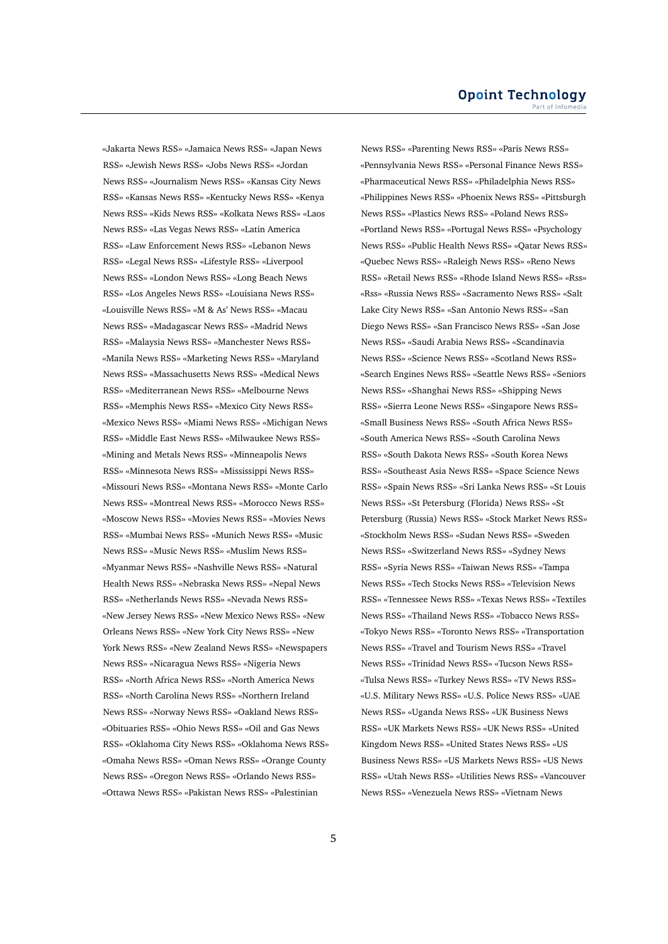«Jakarta News RSS» «Jamaica News RSS» «Japan News RSS» «Jewish News RSS» «Jobs News RSS» «Jordan News RSS» «Journalism News RSS» «Kansas City News RSS» «Kansas News RSS» «Kentucky News RSS» «Kenya News RSS» «Kids News RSS» «Kolkata News RSS» «Laos News RSS» «Las Vegas News RSS» «Latin America RSS» «Law Enforcement News RSS» «Lebanon News RSS» «Legal News RSS» «Lifestyle RSS» «Liverpool News RSS» «London News RSS» «Long Beach News RSS» «Los Angeles News RSS» «Louisiana News RSS» «Louisville News RSS» «M & As' News RSS» «Macau News RSS» «Madagascar News RSS» «Madrid News RSS» «Malaysia News RSS» «Manchester News RSS» «Manila News RSS» «Marketing News RSS» «Maryland News RSS» «Massachusetts News RSS» «Medical News RSS» «Mediterranean News RSS» «Melbourne News RSS» «Memphis News RSS» «Mexico City News RSS» «Mexico News RSS» «Miami News RSS» «Michigan News RSS» «Middle East News RSS» «Milwaukee News RSS» «Mining and Metals News RSS» «Minneapolis News RSS» «Minnesota News RSS» «Mississippi News RSS» «Missouri News RSS» «Montana News RSS» «Monte Carlo News RSS» «Montreal News RSS» «Morocco News RSS» «Moscow News RSS» «Movies News RSS» «Movies News RSS» «Mumbai News RSS» «Munich News RSS» «Music News RSS» «Music News RSS» «Muslim News RSS» «Myanmar News RSS» «Nashville News RSS» «Natural Health News RSS» «Nebraska News RSS» «Nepal News RSS» «Netherlands News RSS» «Nevada News RSS» «New Jersey News RSS» «New Mexico News RSS» «New Orleans News RSS» «New York City News RSS» «New York News RSS» «New Zealand News RSS» «Newspapers News RSS» «Nicaragua News RSS» «Nigeria News RSS» «North Africa News RSS» «North America News RSS» «North Carolina News RSS» «Northern Ireland News RSS» «Norway News RSS» «Oakland News RSS» «Obituaries RSS» «Ohio News RSS» «Oil and Gas News RSS» «Oklahoma City News RSS» «Oklahoma News RSS» «Omaha News RSS» «Oman News RSS» «Orange County News RSS» «Oregon News RSS» «Orlando News RSS» «Ottawa News RSS» «Pakistan News RSS» «Palestinian

News RSS» «Parenting News RSS» «Paris News RSS» «Pennsylvania News RSS» «Personal Finance News RSS» «Pharmaceutical News RSS» «Philadelphia News RSS» «Philippines News RSS» «Phoenix News RSS» «Pittsburgh News RSS» «Plastics News RSS» «Poland News RSS» «Portland News RSS» «Portugal News RSS» «Psychology News RSS» «Public Health News RSS» «Qatar News RSS» «Quebec News RSS» «Raleigh News RSS» «Reno News RSS» «Retail News RSS» «Rhode Island News RSS» «Rss» «Rss» «Russia News RSS» «Sacramento News RSS» «Salt Lake City News RSS» «San Antonio News RSS» «San Diego News RSS» «San Francisco News RSS» «San Jose News RSS» «Saudi Arabia News RSS» «Scandinavia News RSS» «Science News RSS» «Scotland News RSS» «Search Engines News RSS» «Seattle News RSS» «Seniors News RSS» «Shanghai News RSS» «Shipping News RSS» «Sierra Leone News RSS» «Singapore News RSS» «Small Business News RSS» «South Africa News RSS» «South America News RSS» «South Carolina News RSS» «South Dakota News RSS» «South Korea News RSS» «Southeast Asia News RSS» «Space Science News RSS» «Spain News RSS» «Sri Lanka News RSS» «St Louis News RSS» «St Petersburg (Florida) News RSS» «St Petersburg (Russia) News RSS» «Stock Market News RSS» «Stockholm News RSS» «Sudan News RSS» «Sweden News RSS» «Switzerland News RSS» «Sydney News RSS» «Syria News RSS» «Taiwan News RSS» «Tampa News RSS» «Tech Stocks News RSS» «Television News RSS» «Tennessee News RSS» «Texas News RSS» «Textiles News RSS» «Thailand News RSS» «Tobacco News RSS» «Tokyo News RSS» «Toronto News RSS» «Transportation News RSS» «Travel and Tourism News RSS» «Travel News RSS» «Trinidad News RSS» «Tucson News RSS» «Tulsa News RSS» «Turkey News RSS» «TV News RSS» «U.S. Military News RSS» «U.S. Police News RSS» «UAE News RSS» «Uganda News RSS» «UK Business News RSS» «UK Markets News RSS» «UK News RSS» «United Kingdom News RSS» «United States News RSS» «US Business News RSS» «US Markets News RSS» «US News RSS» «Utah News RSS» «Utilities News RSS» «Vancouver News RSS» «Venezuela News RSS» «Vietnam News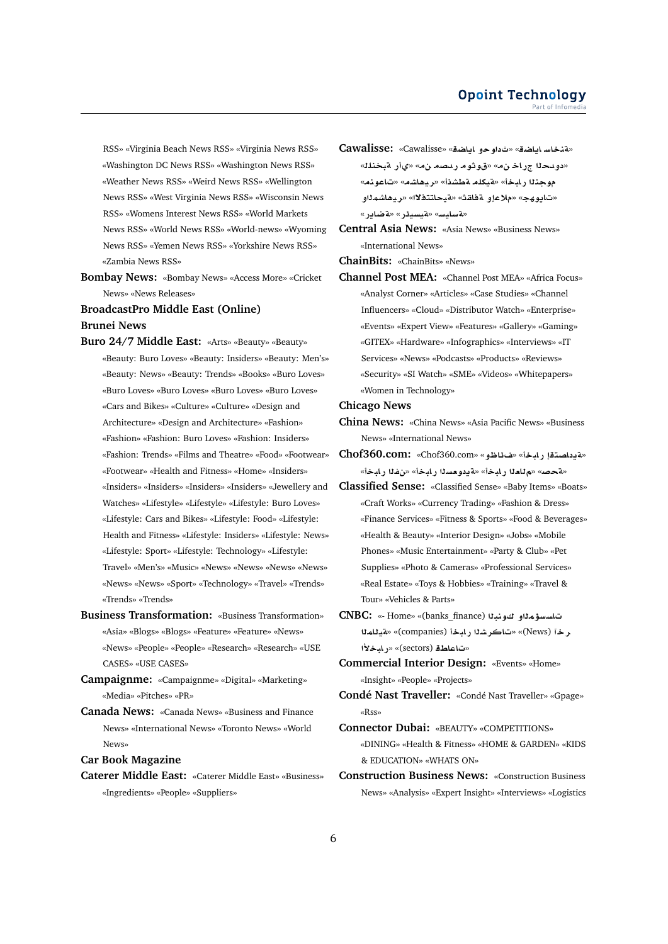RSS» «Virginia Beach News RSS» «Virginia News RSS» «Washington DC News RSS» «Washington News RSS» «Weather News RSS» «Weird News RSS» «Wellington News RSS» «West Virginia News RSS» «Wisconsin News RSS» «Womens Interest News RSS» «World Markets News RSS» «World News RSS» «World-news» «Wyoming News RSS» «Yemen News RSS» «Yorkshire News RSS» «Zambia News RSS»

**Bombay News:** «Bombay News» «Access More» «Cricket News» «News Releases»

**BroadcastPro Middle East (Online) Brunei News**

- **Buro 24/7 Middle East:** «Arts» «Beauty» «Beauty» «Beauty: Buro Loves» «Beauty: Insiders» «Beauty: Men's» «Beauty: News» «Beauty: Trends» «Books» «Buro Loves» «Buro Loves» «Buro Loves» «Buro Loves» «Buro Loves» «Cars and Bikes» «Culture» «Culture» «Design and Architecture» «Design and Architecture» «Fashion» «Fashion» «Fashion: Buro Loves» «Fashion: Insiders» «Fashion: Trends» «Films and Theatre» «Food» «Footwear» «Footwear» «Health and Fitness» «Home» «Insiders» «Insiders» «Insiders» «Insiders» «Insiders» «Jewellery and Watches» «Lifestyle» «Lifestyle» «Lifestyle: Buro Loves» «Lifestyle: Cars and Bikes» «Lifestyle: Food» «Lifestyle: Health and Fitness» «Lifestyle: Insiders» «Lifestyle: News» «Lifestyle: Sport» «Lifestyle: Technology» «Lifestyle: Travel» «Men's» «Music» «News» «News» «News» «News» «News» «News» «Sport» «Technology» «Travel» «Trends» «Trends» «Trends»
- **Business Transformation:** «Business Transformation» «Asia» «Blogs» «Blogs» «Feature» «Feature» «News» «News» «People» «People» «Research» «Research» «USE CASES» «USE CASES»
- **Campaignme:** «Campaignme» «Digital» «Marketing» «Media» «Pitches» «PR»
- **Canada News:** «Canada News» «Business and Finance News» «International News» «Toronto News» «World News»

**Car Book Magazine**

**Caterer Middle East:** «Caterer Middle East» «Business» «Ingredients» «People» «Suppliers»

- **Cawalisse:** «Cawalisse» «**SA§A ¤w** » «**SA§A FAnT**» «دودح**د**ا جراخ نه» «قوثوم ردصه نه» «يأر مبخنلك «**nwA**» «**KA¡yr**» «**KWT lkyT**» «**bAC nw** «تايوھج» «ملاعإو ةفاقث» «قيحاتتفلاا» «ريھاشم**ئ**او «**لة سايس» «لةيسيئر» «لة ضاير**»
- **Central Asia News:** «Asia News» «Business News» «International News»

**ChainBits:** «ChainBits» «News»

**Channel Post MEA:** «Channel Post MEA» «Africa Focus» «Analyst Corner» «Articles» «Case Studies» «Channel Influencers» «Cloud» «Distributor Watch» «Enterprise» «Events» «Expert View» «Features» «Gallery» «Gaming» «GITEX» «Hardware» «Infographics» «Interviews» «IT Services» «News» «Podcasts» «Products» «Reviews» «Security» «SI Watch» «SME» «Videos» «Whitepapers» «Women in Technology»

#### **Chicago News**

- **China News:** «China News» «Asia Pacific News» «Business News» «International News»
- «قيداصتقا رابخأ» «شاظو» «Chof360.com: «Chof360.com «**فحص» «م للعل**ا رابخأ» «قيدو مسلا رابخأ» «نفلا رابخأ»
- **Classified Sense:** «Classified Sense» «Baby Items» «Boats» «Craft Works» «Currency Trading» «Fashion & Dress» «Finance Services» «Fitness & Sports» «Food & Beverages» «Health & Beauty» «Interior Design» «Jobs» «Mobile Phones» «Music Entertainment» «Party & Club» «Pet Supplies» «Photo & Cameras» «Professional Services» «Real Estate» «Toys & Hobbies» «Training» «Travel & Tour» «Vehicles & Parts»
- **CNBC:** «- Home» «(banks\_finance) **bnw ¤m¥FsA mAyT**» «(companies) **bAC KrA**» «(News) **r ±bAC**» «(sectors) **WAA**»

**Commercial Interior Design:** «Events» «Home» «Insight» «People» «Projects»

- **Condé Nast Traveller:** «Condé Nast Traveller» «Gpage» «Rss»
- **Connector Dubai:** «BEAUTY» «COMPETITIONS» «DINING» «Health & Fitness» «HOME & GARDEN» «KIDS & EDUCATION» «WHATS ON»
- **Construction Business News:** «Construction Business News» «Analysis» «Expert Insight» «Interviews» «Logistics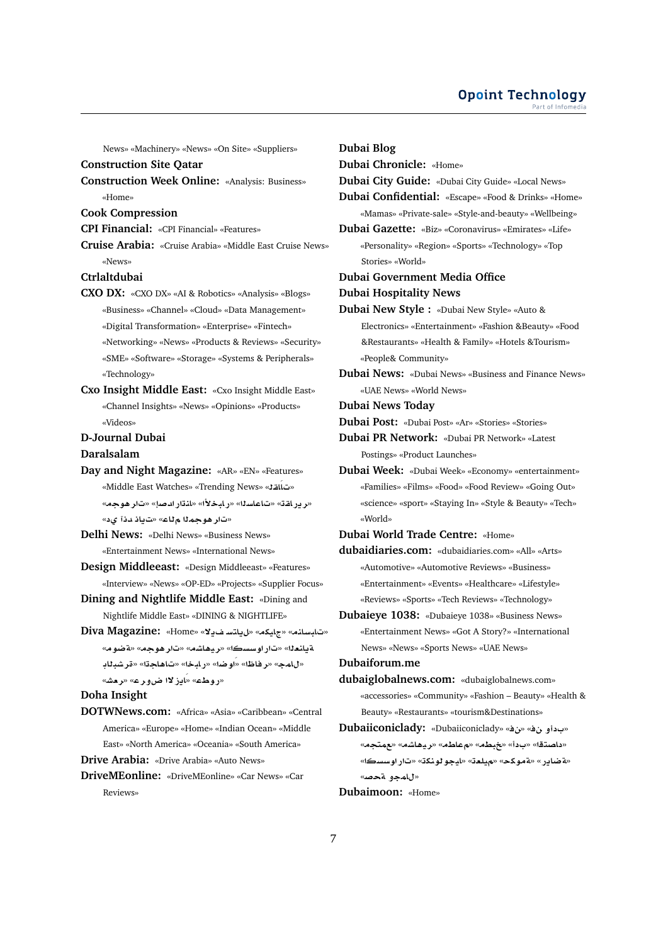### **Opoint Technology** Part of Infomer

News» «Machinery» «News» «On Site» «Suppliers»

**Construction Site Qatar**

**Construction Week Online:** «Analysis: Business» «Home»

**Cook Compression**

**CPI Financial:** «CPI Financial» «Features»

**Cruise Arabia:** «Cruise Arabia» «Middle East Cruise News» «News»

# **Ctrlaltdubai**

- **CXO DX:** «CXO DX» «AI & Robotics» «Analysis» «Blogs» «Business» «Channel» «Cloud» «Data Management» «Digital Transformation» «Enterprise» «Fintech» «Networking» «News» «Products & Reviews» «Security» «SME» «Software» «Storage» «Systems & Peripherals» «Technology»
- **Cxo Insight Middle East:** «Cxo Insight Middle East» «Channel Insights» «News» «Opinions» «Products» «Videos»

# **D-Journal Dubai**

# **Daralsalam**

**Day and Night Magazine:** «AR» «EN» «Features» «Middle East Watches» «Trending News» «**qAÁA**» «**بر در اقت» «تاعاسل**ا» «ر ابخلاًا» «لنڌار ادصاِ» «تار هوجه» «تار هو جملا م**ثا**ع» «تابذ دنآ يد»

**Delhi News:** «Delhi News» «Business News» «Entertainment News» «International News»

- **Design Middleeast:** «Design Middleeast» «Features» «Interview» «News» «OP-ED» «Projects» «Supplier Focus»
- **Dining and Nightlife Middle East:** «Dining and Nightlife Middle East» «DINING & NIGHTLIFE»
- **Diva Magazine:** «Home» «**¯§ FtA§**» «**kyA**» «**nAFbA**» «**wRT**» «**w¡r**» «**KA¡yr**» «**sswC**» «**`nA§T AbKr**» «**A¡A**» «**bAC**» «**RwÁ**» «**ZAr**» «**mA**» «روطء» «اَيز لاا ضور ع» «ر<del>م</del>ش»

# **Doha Insight**

- **DOTWNews.com:** «Africa» «Asia» «Caribbean» «Central America» «Europe» «Home» «Indian Ocean» «Middle East» «North America» «Oceania» «South America»
- **Drive Arabia:** «Drive Arabia» «Auto News»
- **DriveMEonline:** «DriveMEonline» «Car News» «Car Reviews»

**Dubai Blog Dubai Chronicle:** «Home» **Dubai City Guide:** «Dubai City Guide» «Local News» **Dubai Confidential:** «Escape» «Food & Drinks» «Home» «Mamas» «Private-sale» «Style-and-beauty» «Wellbeing» **Dubai Gazette:** «Biz» «Coronavirus» «Emirates» «Life» «Personality» «Region» «Sports» «Technology» «Top Stories» «World» **Dubai Government Media Office Dubai Hospitality News Dubai New Style :** «Dubai New Style» «Auto & Electronics» «Entertainment» «Fashion &Beauty» «Food &Restaurants» «Health & Family» «Hotels &Tourism» «People& Community» **Dubai News:** «Dubai News» «Business and Finance News» «UAE News» «World News» **Dubai News Today Dubai Post:** «Dubai Post» «Ar» «Stories» «Stories» **Dubai PR Network:** «Dubai PR Network» «Latest Postings» «Product Launches» **Dubai Week:** «Dubai Week» «Economy» «entertainment» «Families» «Films» «Food» «Food Review» «Going Out» «science» «sport» «Staying In» «Style & Beauty» «Tech» «World» **Dubai World Trade Centre:** «Home» **dubaidiaries.com:** «dubaidiaries.com» «All» «Arts» «Automotive» «Automotive Reviews» «Business» «Entertainment» «Events» «Healthcare» «Lifestyle» «Reviews» «Sports» «Tech Reviews» «Technology» **Dubaieye 1038:** «Dubaieye 1038» «Business News» «Entertainment News» «Got A Story?» «International News» «News» «Sports News» «UAE News» **Dubaiforum.me dubaiglobalnews.com:** «dubaiglobalnews.com» «accessories» «Community» «Fashion – Beauty» «Health & Beauty» «Restaurants» «tourism&Destinations» **Dubaiiconiclady:** «Dubaiiconiclady» «» « **¤** » «**tm**» «**KA¡yr**» «**WA**» «**Wb**» «» «**tOA** »

«<mark>a ضاير» «ةموكح» «ميلعة» «ليجو لونكة» «تار اوسسك</mark>ا» «ل**امجو ةحص**»

# **Dubaimoon:** «Home»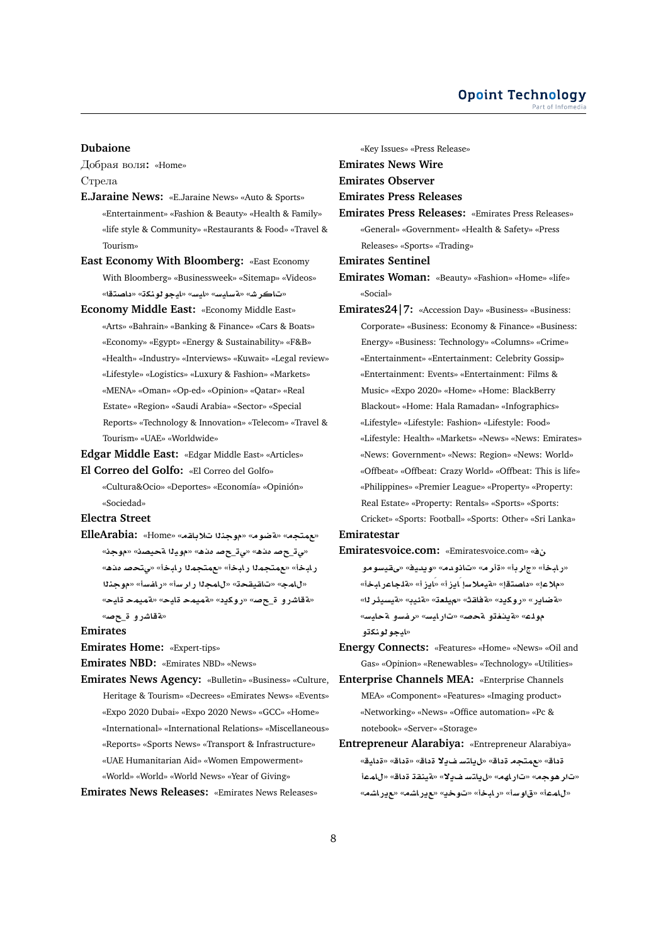# **Dubaione**

Добрая воля**:** «Home» Стрела

- **E.Jaraine News:** «E.Jaraine News» «Auto & Sports» «Entertainment» «Fashion & Beauty» «Health & Family» «life style & Community» «Restaurants & Food» «Travel & Tourism»
- **East Economy With Bloomberg:** «East Economy With Bloomberg» «Businessweek» «Sitemap» «Videos» «**tOA** » «**knwwyA**» «**FyA**» «**FyAFT**» «**JrA**»
- **Economy Middle East:** «Economy Middle East» «Arts» «Bahrain» «Banking & Finance» «Cars & Boats» «Economy» «Egypt» «Energy & Sustainability» «F&B» «Health» «Industry» «Interviews» «Kuwait» «Legal review» «Lifestyle» «Logistics» «Luxury & Fashion» «Markets» «MENA» «Oman» «Op-ed» «Opinion» «Qatar» «Real Estate» «Region» «Saudi Arabia» «Sector» «Special Reports» «Technology & Innovation» «Telecom» «Travel & Tourism» «UAE» «Worldwide»

**Edgar Middle East:** «Edgar Middle East» «Articles»

**El Correo del Golfo:** «El Correo del Golfo» «Cultura&Ocio» «Deportes» «Economía» «Opinión» «Sociedad»

**Electra Street**

«بعهتجه» «مقضوم» «موجندا تلاياته» «Home» «Home» «**w**» «**OyT yw**» «**¡@£ }**\_**¨**» «**¡@£ }**\_**¨**» ر ابخأ» «مهمتجمدا ر ابخأ» «مهمتجمدا ر ابخأ» «ي تحصـ مده» «للمج» «تاقيقحة» «للمحلا رارسة» «رافسة» «موج*ذلا* «**yA mymT**» «**yA mymT**» « **§kwC**» «**}**\_ **¤CJAT**» «**لقاشرو ة\_حص**»

**Emirates**

**Emirates Home:** «Expert-tips»

**Emirates NBD:** «Emirates NBD» «News»

**Emirates News Agency:** «Bulletin» «Business» «Culture, Heritage & Tourism» «Decrees» «Emirates News» «Events» «Expo 2020 Dubai» «Expo 2020 News» «GCC» «Home» «International» «International Relations» «Miscellaneous» «Reports» «Sports News» «Transport & Infrastructure» «UAE Humanitarian Aid» «Women Empowerment» «World» «World» «World News» «Year of Giving»

**Emirates News Releases:** «Emirates News Releases»

«Key Issues» «Press Release» **Emirates News Wire Emirates Observer Emirates Press Releases Emirates Press Releases:** «Emirates Press Releases» «General» «Government» «Health & Safety» «Press Releases» «Sports» «Trading» **Emirates Sentinel Emirates Woman:** «Beauty» «Fashion» «Home» «life» «Social» **Emirates24|7:** «Accession Day» «Business» «Business: Corporate» «Business: Economy & Finance» «Business: Energy» «Business: Technology» «Columns» «Crime» «Entertainment» «Entertainment: Celebrity Gossip» «Entertainment: Events» «Entertainment: Films & Music» «Expo 2020» «Home» «Home: BlackBerry Blackout» «Home: Hala Ramadan» «Infographics» «Lifestyle» «Lifestyle: Fashion» «Lifestyle: Food» «Lifestyle: Health» «Markets» «News» «News: Emirates» «News: Government» «News: Region» «News: World» «Offbeat» «Offbeat: Crazy World» «Offbeat: This is life» «Philippines» «Premier League» «Property» «Property: Real Estate» «Property: Rentals» «Sports» «Sports: Cricket» «Sports: Football» «Sports: Other» «Sri Lanka» **Emiratestar**

- **Emiratesvoice.com:** «Emiratesvoice.com» « **¤wFyqY**» «**yd§w**» «**d¤A**» «**r**» «**r**» «**bAC**» «**bACAlT**» «**E§AÁ**» «**E§AÁ F®yT**» «**tOA** » «**®**» «**¤ضاير» «روكيد» «ةفاقث» «ميلعت» «ةئيب» «ةيسيئر ل**ه» مولك» «قينغتو قحصه «تارليس» «رفسو قحليس» «ايجو **لونك**ڌو
- **Energy Connects:** «Features» «Home» «News» «Oil and Gas» «Opinion» «Renewables» «Technology» «Utilities»
- **Enterprise Channels MEA:** «Enterprise Channels MEA» «Component» «Features» «Imaging product» «Networking» «News» «Office automation» «Pc & notebook» «Server» «Storage»
- **Entrepreneur Alarabiya:** «Entrepreneur Alarabiya» «**yA** » «**A** » «**A ¯§ FtA§**» «**A tm**» «**A**  «تار هوجه» «تار لهه» «ل<sub>ا</sub>ياتسفويلا» «قينقة قداق» «للممأ «**KAC§**» «**KAC§**» «**§w**» «**bAC**» «**Fw**» «**mA**»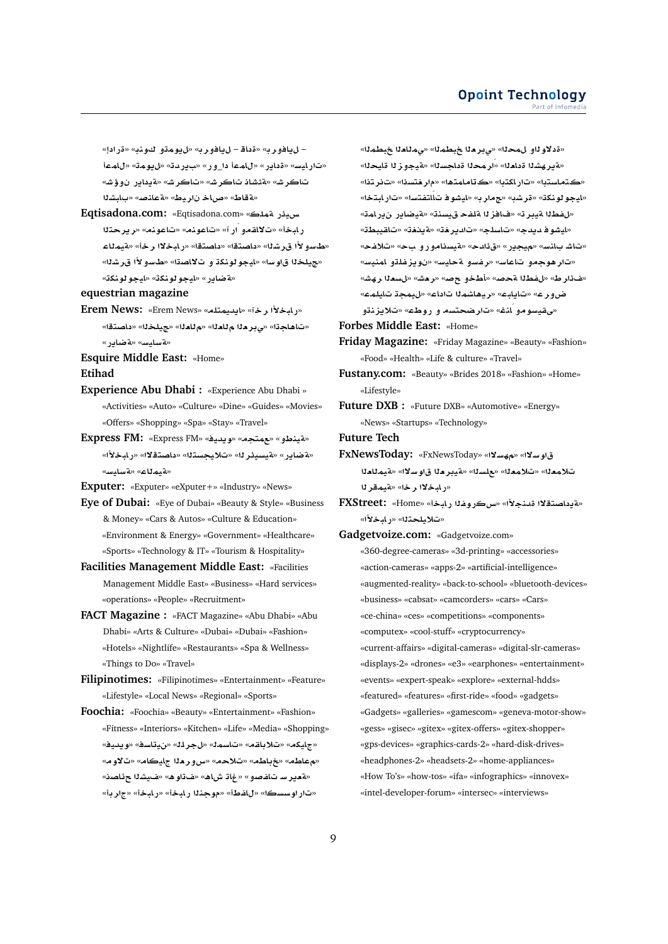« **C**» «**nw ¤mw§**» «**r¤A§** – **A** » «**r¤A§** – «تارليس» «قداير» «للممأ دا\_ور» «بيردته «ليومت» «للممأ «**J¥¤ C§A §T**» «**JrA**» «**JrA AJ·T**» «**JrA** «aقاط» «صاخ ناريط» «aعانصه «بابشلا

**Eqtisadona.com:** «Eqtisadona.com» «**lmT C¶yH tr§r**» «**nwA**» «**nwA**» «**CÁ ¤qA¯**» «**bAC** «طاسو لأا ق.ر شنا» «داصتقا» «داصتقا» «ر ابخلاا ر خأ» «ةبمناء «مجيلخذا قاوسا» «ايجو لونكة و ت¥اص**تا» «طسولأا قرش**ذا» «**لة ضاير » «ايجو لونك**ة» «ايجو لونكة»

# **equestrian magazine**

- **Erem News:** «Erem News» «**ltmyd§A**» «**r ±bAC**» «تاهاجةا» «يبر دلا م للدلا» «م للدلا» «جيلخلا» «داصتقا» «**C§ART**» «**FyAFT**»
- **Esquire Middle East:** «Home»

**Etihad**

- **Experience Abu Dhabi :** «Experience Abu Dhabi » «Activities» «Auto» «Culture» «Dine» «Guides» «Movies» «Offers» «Shopping» «Spa» «Stay» «Travel»
- **Express FM:** «Express FM» «**yd§w**» «**tm**» «**¤VnyT**» «**قضاير» «قيسيئر ل**ا» «تلايجستلا» «داصتقلاا» «رابخلأا» «**FyAFT**» «**AmyT**»
- **Exputer:** «Exputer» «eXputer+» «Industry» «News»
- **Eye of Dubai:** «Eye of Dubai» «Beauty & Style» «Business & Money» «Cars & Autos» «Culture & Education» «Environment & Energy» «Government» «Healthcare» «Sports» «Technology & IT» «Tourism & Hospitality»
- **Facilities Management Middle East:** «Facilities Management Middle East» «Business» «Hard services» «operations» «People» «Recruitment»
- **FACT Magazine :** «FACT Magazine» «Abu Dhabi» «Abu Dhabi» «Arts & Culture» «Dubai» «Dubai» «Fashion» «Hotels» «Nightlife» «Restaurants» «Spa & Wellness» «Things to Do» «Travel»
- **Filipinotimes:** «Filipinotimes» «Entertainment» «Feature» «Lifestyle» «Local News» «Regional» «Sports»
- **Foochia:** «Foochia» «Beauty» «Entertainment» «Fashion» «Fitness» «Interiors» «Kitchen» «Life» «Media» «Shopping» «**yd§w**» «**sAy**» «**lr**» «**msA**» «**qA®**» «**kyA**» «**معاطم» «غباطم» «تلاحم» «س ورمن**ا جليكام» «تلاوم» «هدير سـ تـاغصو» «غاتـ ش**اه» «ف**تاوه» «غـيشنا حرئـاصنه «تار اوسسكا» «للفطأ» «موجندا رابخأ» «رابخأ» «جار بأ»

«قدلاو لـاه حـدا» «ي بر مـدا ـخبـطمـدا» «يمـللمـدا» « «لقير هشـ11 قدا<del>ـد</del>1» «ار محـ11 قداجسـ11» «لقيجوز 11 قايـحـ11» «كتماستدا» «تار اكتدا» «كتامامتها» «م|ر <del>ف</del>تسنا» «تانر تنا» «ايجو لونكة» «قرشب» «جمار به «ايشو فاتسالتفتسا» «تار ابتخا» «*للفط*لا قيبر ت» «فافز لا قلفح قيسنة» «قيضاير ارير لمة» «**WbyqA**» «**@§T**» «**r§d**» «**lsA**» «**d§d wJyA**» «تاشـ بـانس» «ميجير» «ق1شح» «قيسنامورو بحه» «تلافحه «تار هوجمو تاعاس» «رفسو ةحايس» «نويزغلتو امنيس» «غ**َائرط» «ل**فطلا ةحصه «أطخو حصه «رهشه «ل**سعل**ا رهشه «**mlyA my**» «**A mKA¡yr**» «**bA§A**» «**r¤|** «م قيسو مو انغ» «تار ضحت*سم و رو*طء» «تلايزنتو

**Forbes Middle East:** «Home»

- **Friday Magazine:** «Friday Magazine» «Beauty» «Fashion» «Food» «Health» «Life & culture» «Travel»
- **Fustany.com:** «Beauty» «Brides 2018» «Fashion» «Home» «Lifestyle»
- **Future DXB :** «Future DXB» «Automotive» «Energy» «News» «Startups» «Technology»
- **Future Tech**
- **FxNewsToday:** «FxNewsToday» «**¯Fh**» «**¯Fw `AmyT**» «**¯Fw `ryT**» «**sl**» «**`m®**» «**`m®** «**ر ابخلاا ر خ**ا» «ةبمقر لا
- «*ACHERE:* **«Home» «آدداصتقلاا قدنجلاً» «س کروغلا رابخاً» FXStreet:** «**±bAC**» «**tly®**»
- **Gadgetvoize.com:** «Gadgetvoize.com»

«360-degree-cameras» «3d-printing» «accessories» «action-cameras» «apps-2» «artificial-intelligence» «augmented-reality» «back-to-school» «bluetooth-devices» «business» «cabsat» «camcorders» «cars» «Cars» «ce-china» «ces» «competitions» «components» «computex» «cool-stuff» «cryptocurrency» «current-affairs» «digital-cameras» «digital-slr-cameras» «displays-2» «drones» «e3» «earphones» «entertainment» «events» «expert-speak» «explore» «external-hdds» «featured» «features» «first-ride» «food» «gadgets» «Gadgets» «galleries» «gamescom» «geneva-motor-show» «gess» «gisec» «gitex» «gitex-offers» «gitex-shopper» «gps-devices» «graphics-cards-2» «hard-disk-drives» «headphones-2» «headsets-2» «home-appliances» «How To's» «how-tos» «ifa» «infographics» «innovex» «intel-developer-forum» «intersec» «interviews»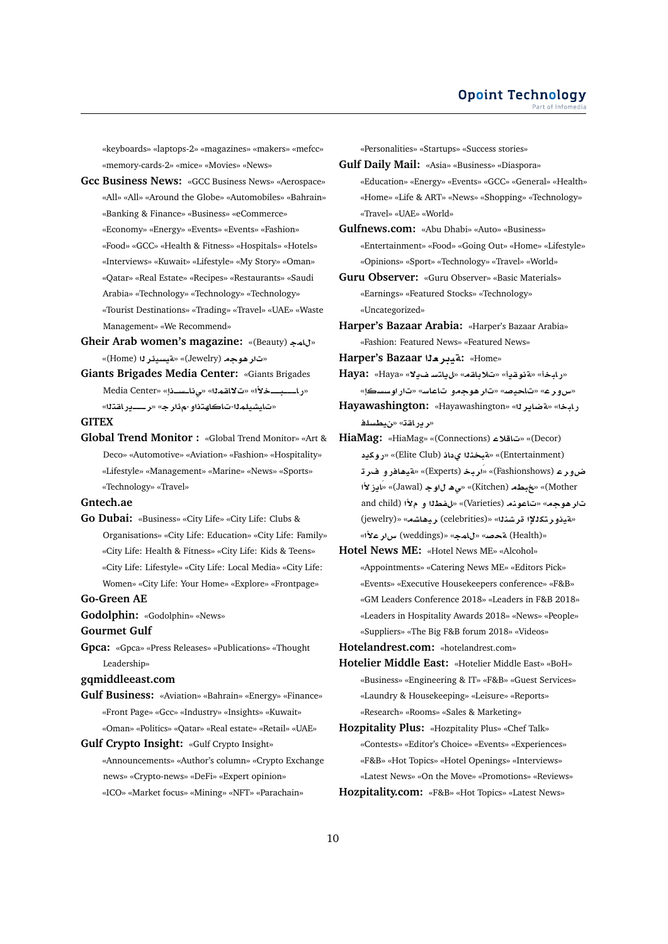«keyboards» «laptops-2» «magazines» «makers» «mefcc» «memory-cards-2» «mice» «Movies» «News»

- **Gcc Business News:** «GCC Business News» «Aerospace» «All» «All» «Around the Globe» «Automobiles» «Bahrain» «Banking & Finance» «Business» «eCommerce» «Economy» «Energy» «Events» «Events» «Fashion» «Food» «GCC» «Health & Fitness» «Hospitals» «Hotels» «Interviews» «Kuwait» «Lifestyle» «My Story» «Oman» «Qatar» «Real Estate» «Recipes» «Restaurants» «Saudi Arabia» «Technology» «Technology» «Technology» «Tourist Destinations» «Trading» «Travel» «UAE» «Waste Management» «We Recommend»
- Gheir Arab women's magazine: «(Beauty) » «تار هوجه (Jewelry)» «تقسيطُر لـ (Home)»
- **Giants Brigades Media Center:** «Giants Brigades Media Center» «**þsþA¨**» «**mqA¯**» «**±þþbþþþAC**» «تايشىلم<sup>ن</sup>ا-تاكاهتذاو -ه*ذا*ر ح» «ريب باقتنا»

# **GITEX**

**Global Trend Monitor :** «Global Trend Monitor» «Art & Deco» «Automotive» «Aviation» «Fashion» «Hospitality» «Lifestyle» «Management» «Marine» «News» «Sports» «Technology» «Travel»

# **Gntech.ae**

**Go Dubai:** «Business» «City Life» «City Life: Clubs & Organisations» «City Life: Education» «City Life: Family» «City Life: Health & Fitness» «City Life: Kids & Teens» «City Life: Lifestyle» «City Life: Local Media» «City Life: Women» «City Life: Your Home» «Explore» «Frontpage»

# **Go-Green AE**

**Godolphin:** «Godolphin» «News»

### **Gourmet Gulf**

**Gpca:** «Gpca» «Press Releases» «Publications» «Thought Leadership»

# **gqmiddleeast.com**

**Gulf Business:** «Aviation» «Bahrain» «Energy» «Finance» «Front Page» «Gcc» «Industry» «Insights» «Kuwait» «Oman» «Politics» «Qatar» «Real estate» «Retail» «UAE»

**Gulf Crypto Insight:** «Gulf Crypto Insight»

«Announcements» «Author's column» «Crypto Exchange news» «Crypto-news» «DeFi» «Expert opinion» «ICO» «Market focus» «Mining» «NFT» «Parachain»

«Personalities» «Startups» «Success stories»

- **Gulf Daily Mail:** «Asia» «Business» «Diaspora» «Education» «Energy» «Events» «GCC» «General» «Health» «Home» «Life & ART» «News» «Shopping» «Technology» «Travel» «UAE» «World»
- **Gulfnews.com:** «Abu Dhabi» «Auto» «Business» «Entertainment» «Food» «Going Out» «Home» «Lifestyle» «Opinions» «Sport» «Technology» «Travel» «World»
- **Guru Observer:** «Guru Observer» «Basic Materials» «Earnings» «Featured Stocks» «Technology» «Uncategorized»
- **Harper's Bazaar Arabia:** «Harper's Bazaar Arabia» «Fashion: Featured News» «Featured News»
- **Harper's Bazaar i) : تقدير هذا:** «Home»
- **Haya:** «Haya» «**¯§ FtA§**» «**qA®**» «**§qwT**» «**bAC**» «س و ر ع» «تاحيصه «تار هو جمو بتاعاسه «تار اوسسكا»
- **Hayawashington:** «Hayawashington» «**r§ART**» «**bAC** «ر ير اقة» «نيطسل**ف**
- **HiaMag:** «HiaMag» «(Connections) **®A**» «(Decor)  **§kwC**» «(Elite Club) **A © nbT**» «(Entertainment) **r ¤CA¡yT**» «(Experts) **brÁ**» «(Fashionshows) **r¤| ±E§AÁ**» «(Jawal) **w ¡¨**» «(Kitchen) **Wb**» «(Mother and child) **± ¤ Wf**» «(Varieties) **nwA**» «**w¡r** (jewelry)» «**KA¡yr** (celebrities)» «**nKr ³ktr¤yT**» «**±rx** (weddings)» «**mA**» «**}T** (Health)»
- **Hotel News ME:** «Hotel News ME» «Alcohol» «Appointments» «Catering News ME» «Editors Pick» «Events» «Executive Housekeepers conference» «F&B» «GM Leaders Conference 2018» «Leaders in F&B 2018» «Leaders in Hospitality Awards 2018» «News» «People» «Suppliers» «The Big F&B forum 2018» «Videos»
- **Hotelandrest.com:** «hotelandrest.com»
- **Hotelier Middle East:** «Hotelier Middle East» «BoH» «Business» «Engineering & IT» «F&B» «Guest Services» «Laundry & Housekeeping» «Leisure» «Reports» «Research» «Rooms» «Sales & Marketing»
- **Hozpitality Plus:** «Hozpitality Plus» «Chef Talk» «Contests» «Editor's Choice» «Events» «Experiences» «F&B» «Hot Topics» «Hotel Openings» «Interviews» «Latest News» «On the Move» «Promotions» «Reviews» **Hozpitality.com:** «F&B» «Hot Topics» «Latest News»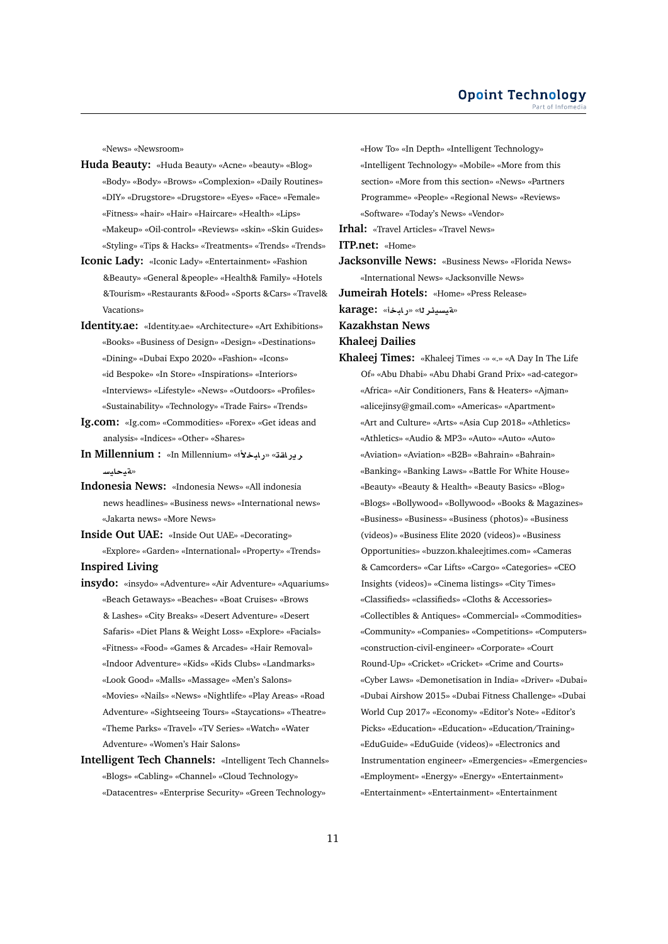«News» «Newsroom»

- **Huda Beauty:** «Huda Beauty» «Acne» «beauty» «Blog» «Body» «Body» «Brows» «Complexion» «Daily Routines» «DIY» «Drugstore» «Drugstore» «Eyes» «Face» «Female» «Fitness» «hair» «Hair» «Haircare» «Health» «Lips» «Makeup» «Oil-control» «Reviews» «skin» «Skin Guides» «Styling» «Tips & Hacks» «Treatments» «Trends» «Trends»
- **Iconic Lady:** «Iconic Lady» «Entertainment» «Fashion &Beauty» «General &people» «Health& Family» «Hotels &Tourism» «Restaurants &Food» «Sports &Cars» «Travel& Vacations»
- **Identity.ae:** «Identity.ae» «Architecture» «Art Exhibitions» «Books» «Business of Design» «Design» «Destinations» «Dining» «Dubai Expo 2020» «Fashion» «Icons» «id Bespoke» «In Store» «Inspirations» «Interiors» «Interviews» «Lifestyle» «News» «Outdoors» «Profiles» «Sustainability» «Technology» «Trade Fairs» «Trends»
- **Ig.com:** «Ig.com» «Commodities» «Forex» «Get ideas and analysis» «Indices» «Other» «Shares»
- **In Millennium :** «In Millennium» «**±bAC**» «**qAC§r** «**ت**ميحايسا
- **Indonesia News:** «Indonesia News» «All indonesia news headlines» «Business news» «International news» «Jakarta news» «More News»
- **Inside Out UAE:** «Inside Out UAE» «Decorating» «Explore» «Garden» «International» «Property» «Trends»

**Inspired Living**

- **insydo:** «insydo» «Adventure» «Air Adventure» «Aquariums» «Beach Getaways» «Beaches» «Boat Cruises» «Brows & Lashes» «City Breaks» «Desert Adventure» «Desert Safaris» «Diet Plans & Weight Loss» «Explore» «Facials» «Fitness» «Food» «Games & Arcades» «Hair Removal» «Indoor Adventure» «Kids» «Kids Clubs» «Landmarks» «Look Good» «Malls» «Massage» «Men's Salons» «Movies» «Nails» «News» «Nightlife» «Play Areas» «Road Adventure» «Sightseeing Tours» «Staycations» «Theatre» «Theme Parks» «Travel» «TV Series» «Watch» «Water Adventure» «Women's Hair Salons»
- **Intelligent Tech Channels:** «Intelligent Tech Channels» «Blogs» «Cabling» «Channel» «Cloud Technology» «Datacentres» «Enterprise Security» «Green Technology»

«How To» «In Depth» «Intelligent Technology» «Intelligent Technology» «Mobile» «More from this section» «More from this section» «News» «Partners Programme» «People» «Regional News» «Reviews» «Software» «Today's News» «Vendor»

**Irhal:** «Travel Articles» «Travel News»

**ITP.net:** «Home»

- **Jacksonville News:** «Business News» «Florida News» «International News» «Jacksonville News»
- **Jumeirah Hotels:** «Home» «Press Release»

**karage:** «**bAC**» «**r¶ysyT**»

**Kazakhstan News**

**Khaleej Dailies**

**Khaleej Times:** «Khaleej Times -» «.» «A Day In The Life Of» «Abu Dhabi» «Abu Dhabi Grand Prix» «ad-categor» «Africa» «Air Conditioners, Fans & Heaters» «Ajman» «alicejinsy@gmail.com» «Americas» «Apartment» «Art and Culture» «Arts» «Asia Cup 2018» «Athletics» «Athletics» «Audio & MP3» «Auto» «Auto» «Auto» «Aviation» «Aviation» «B2B» «Bahrain» «Bahrain» «Banking» «Banking Laws» «Battle For White House» «Beauty» «Beauty & Health» «Beauty Basics» «Blog» «Blogs» «Bollywood» «Bollywood» «Books & Magazines» «Business» «Business» «Business (photos)» «Business (videos)» «Business Elite 2020 (videos)» «Business Opportunities» «buzzon.khaleejtimes.com» «Cameras & Camcorders» «Car Lifts» «Cargo» «Categories» «CEO Insights (videos)» «Cinema listings» «City Times» «Classifieds» «classifieds» «Cloths & Accessories» «Collectibles & Antiques» «Commercial» «Commodities» «Community» «Companies» «Competitions» «Computers» «construction-civil-engineer» «Corporate» «Court Round-Up» «Cricket» «Cricket» «Crime and Courts» «Cyber Laws» «Demonetisation in India» «Driver» «Dubai» «Dubai Airshow 2015» «Dubai Fitness Challenge» «Dubai World Cup 2017» «Economy» «Editor's Note» «Editor's Picks» «Education» «Education» «Education/Training» «EduGuide» «EduGuide (videos)» «Electronics and Instrumentation engineer» «Emergencies» «Emergencies» «Employment» «Energy» «Energy» «Entertainment» «Entertainment» «Entertainment» «Entertainment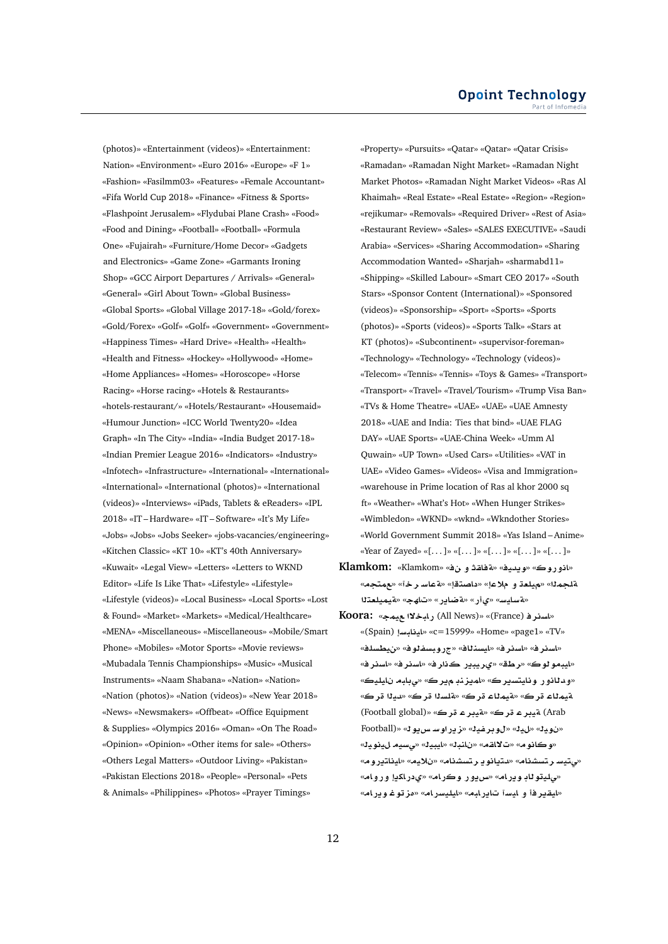(photos)» «Entertainment (videos)» «Entertainment: Nation» «Environment» «Euro 2016» «Europe» «F 1» «Fashion» «Fasilmm03» «Features» «Female Accountant» «Fifa World Cup 2018» «Finance» «Fitness & Sports» «Flashpoint Jerusalem» «Flydubai Plane Crash» «Food» «Food and Dining» «Football» «Football» «Formula One» «Fujairah» «Furniture/Home Decor» «Gadgets and Electronics» «Game Zone» «Garmants Ironing Shop» «GCC Airport Departures / Arrivals» «General» «General» «Girl About Town» «Global Business» «Global Sports» «Global Village 2017-18» «Gold/forex» «Gold/Forex» «Golf» «Golf» «Government» «Government» «Happiness Times» «Hard Drive» «Health» «Health» «Health and Fitness» «Hockey» «Hollywood» «Home» «Home Appliances» «Homes» «Horoscope» «Horse Racing» «Horse racing» «Hotels & Restaurants» «hotels-restaurant/» «Hotels/Restaurant» «Housemaid» «Humour Junction» «ICC World Twenty20» «Idea Graph» «In The City» «India» «India Budget 2017-18» «Indian Premier League 2016» «Indicators» «Industry» «Infotech» «Infrastructure» «International» «International» «International» «International (photos)» «International (videos)» «Interviews» «iPads, Tablets & eReaders» «IPL 2018» «IT – Hardware» «IT – Software» «It's My Life» «Jobs» «Jobs» «Jobs Seeker» «jobs-vacancies/engineering» «Kitchen Classic» «KT 10» «KT's 40th Anniversary» «Kuwait» «Legal View» «Letters» «Letters to WKND Editor» «Life Is Like That» «Lifestyle» «Lifestyle» «Lifestyle (videos)» «Local Business» «Local Sports» «Lost & Found» «Market» «Markets» «Medical/Healthcare» «MENA» «Miscellaneous» «Miscellaneous» «Mobile/Smart Phone» «Mobiles» «Motor Sports» «Movie reviews» «Mubadala Tennis Championships» «Music» «Musical Instruments» «Naam Shabana» «Nation» «Nation» «Nation (photos)» «Nation (videos)» «New Year 2018» «News» «Newsmakers» «Offbeat» «Office Equipment & Supplies» «Olympics 2016» «Oman» «On The Road» «Opinion» «Opinion» «Other items for sale» «Others» «Others Legal Matters» «Outdoor Living» «Pakistan» «Pakistan Elections 2018» «People» «Personal» «Pets & Animals» «Philippines» «Photos» «Prayer Timings»

«Property» «Pursuits» «Qatar» «Qatar» «Qatar Crisis» «Ramadan» «Ramadan Night Market» «Ramadan Night Market Photos» «Ramadan Night Market Videos» «Ras Al Khaimah» «Real Estate» «Real Estate» «Region» «Region» «rejikumar» «Removals» «Required Driver» «Rest of Asia» «Restaurant Review» «Sales» «SALES EXECUTIVE» «Saudi Arabia» «Services» «Sharing Accommodation» «Sharing Accommodation Wanted» «Sharjah» «sharmabd11» «Shipping» «Skilled Labour» «Smart CEO 2017» «South Stars» «Sponsor Content (International)» «Sponsored (videos)» «Sponsorship» «Sport» «Sports» «Sports (photos)» «Sports (videos)» «Sports Talk» «Stars at KT (photos)» «Subcontinent» «supervisor-foreman» «Technology» «Technology» «Technology (videos)» «Telecom» «Tennis» «Tennis» «Toys & Games» «Transport» «Transport» «Travel» «Travel/Tourism» «Trump Visa Ban» «TVs & Home Theatre» «UAE» «UAE» «UAE Amnesty 2018» «UAE and India: Ties that bind» «UAE FLAG DAY» «UAE Sports» «UAE-China Week» «Umm Al Quwain» «UP Town» «Used Cars» «Utilities» «VAT in UAE» «Video Games» «Videos» «Visa and Immigration» «warehouse in Prime location of Ras al khor 2000 sq ft» «Weather» «What's Hot» «When Hunger Strikes» «Wimbledon» «WKND» «wknd» «Wkndother Stories» «World Government Summit 2018» «Yas Island – Anime» «Year of Zayed» «[. . . ]» «[. . . ]» «[. . . ]» «[. . . ]» «[. . . ]»

- **Klamkom:** «Klamkom» « **¤ qAT**» «**yd§w**» «**wC¤A**» «**tm**» «**r FAT**» «**tOA** » «**® ¤ `ly**» «**mlT t`lymyT**» «**hA**» «**C§ART**» «**C©**» «**FyAFT**»
- **Koora:** «**my ¯bAC** (All News)» «(France) **rsA**» «(Spain) **FbAyA**» «c=15999» «Home» «page1» «TV» «اسنر ف» «اسنر ف» «ايسنناف» «جروبسفنوف» «نيطسلف» «ايبمو ڻوڪ» «رطق» «يريبير ڪنار فه «اسنر فه» «اسنر فه «و<mark>دڻان</mark>ور ونايتسيرڪ» «لميزنڊ مڀرڪ» «<sub>ص</sub>بلبه نايليڪ» «**r yd**» «**r slT**» «**r AmyT**» «**r AmyT** (Football global)» «**r ryT**» «**r ryT** (Arab Football)» «**w§H FwC§z**» «**yfrw**» «**y**» «**yw** » «**وكانوم» «ت¥اقم» «نائب**ك» «ايبيك» «يسيم لينويك» «صتيسا رتسشنام» «دتيانو يارتسشنام» «نلايم» «ايناتيروم» «*م*ليتو ڻاڊ وڍرام» «سڍور وڪرام» «يدراکڍإ وروامه «**ايقيرفأ و ايس**آ تايرابه» «ايليسرام» «مزتوغ ويرام»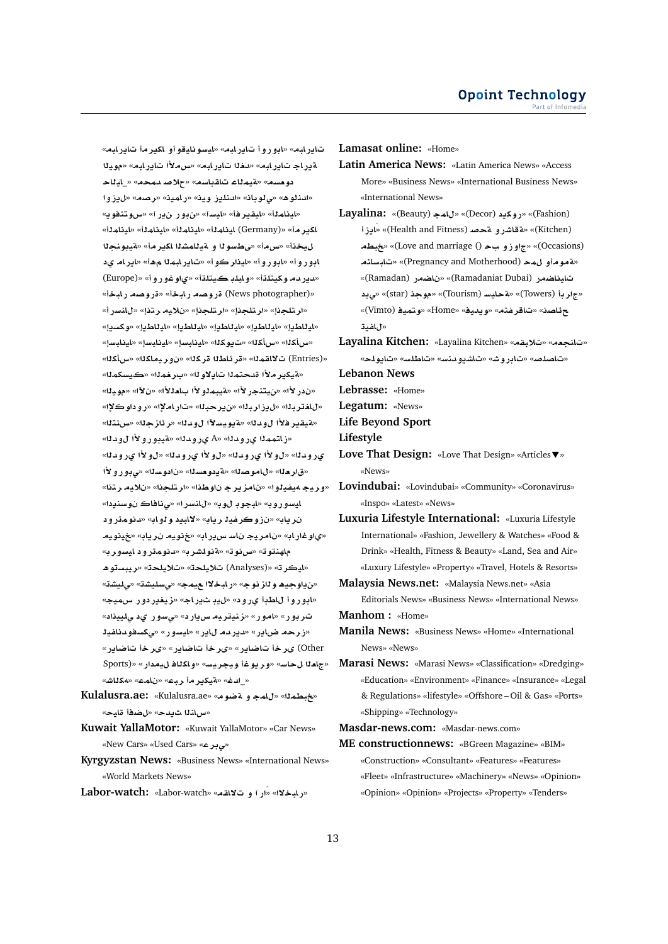تاير لبه» «ابوروأ تاير لبه» «ليسو نليقو أو لكير مأ تاير لبه» **yw**» «**bAC§A ±H**» «**bAC§A d**» «**bAC§A AC§T** دو مسم» «متيمناء تاقباسم» «حلاص ممحم» «\_ايناح **¤E§**» «**Or**» «**ymAC**» «**yw E§lnd**» «**Aw¨**» «**¡wnd**» «<mark>اينام<sup>1</sup>1» «ايقير فأ» «ايس</mark>آ» «ن.ور ن.ر آ» «سوتنفويه «**mAyA**» «**mAyA**» «**mAyA**» «**mAyA** (Germany)» «**r§kA nwyT**» «**r§kA KmAyT ¤ wFWY**» «**H**» «**y** ابورو أ» «ابورو أ» «ليذاركو أ» «تاير ابم**1**ا مهأ» «اير ام يد «دير دم وكيتلةأ» «وابلڊ كيتلةأ» «ياوغوروأ» «(Europe) «قروصه رابخة» «قروصه رابخة» «قروصه رابخة» «ارتلجذإ» «ارتلجذإ» «ارتلجذإ» «نلايه رتذإ» «للنسرأ» «**§skw**» «**§WAyA**» «**§WAyA**» «**§WAyA**» «**§WAyA**» «**§WAyA**» «س|كلا» «س|كلا» «ت12هـ/» «ايذابـساٍ» «ايذابـساٍ» «ايذابـساٍ» «(Entries) ت¥اقمـلـ» «قر ئـاطـلـا قر كـلـا» «نو ر يـمـاكـلـا» «سأكـلـا» « $\mathfrak{so}_\mathbb{Z}$ » «برخمنا» «بكويسكمنا» «ندر لأا» «ن.يتنجر لأا» «ةيبمـلو لأا بـامـلـلأا» «ن لآا» «مو.يـلـا» «**³w ¤C**» «**³AC**» «**br§**» «**brE§**» «**brA**» «هيقير فلأا ل و دلك» «هيويسلاًا ل و دلك» «ر ئاز جل<sup>ل» «</sup>س نتلك «**زاتمم**نا يرومنا» «A» يرومنا» «هيبورولأا ل1ومنا» ي رو د **ن**ا» «ل و لأا ي رو د نا» «ل و لأا ي رود نا» «ل و لأا ي رو د نا» **±¤C¤¨**» «**sw** » «**s`w §T**» «**OwA**» «**`r**» «**tr y®** » «**ltr**» «**Ww r§zA** » «**¤yfy¢ yr¤**» « **§nsw AA¨**» «**CFnA**» «**w wbA**» «**wC¤FyA** نرياب» «نزوكرغية رياب» «لالبيد و *دو*اب» «دنومترود **ywy**» «**A§r yw**» «**AC§H FA yrA** » «**ACw©**» ماهنتوت» «س**رنوت» «¤نولشرب» «دنومترود ایسورب**» **¡wsbyr**» «**ly®**» «**ly®** (Analyses)» «**ryA**» «**ن**ياوجيھ و ناز نوج» «رابخلاا عيمج» «ىسليشة» «ىليشة» «**ابوروأ ل**اطبأ يرود» «ليد شيراج» «زيغيردور سهيجه ت ربور» «امور» «زنيتري*م س يار د» «یسور ید یلیپذاد»* «زرحه ضاير» «ديرده ل**اي**ر» «ايسور» «ىكسفودناغية «**C§ARA r«**» «**C§ARA r«**» «**C§ARA r«** (Other «جاملا لحاس» «وريوغا ويجريس» «و اكلاف ليمدار» «Sports) «**JAk¢**» «**mA** » «**br r§kyT**» «**d**\_»

Kulalusra.ae: «Kulalusra.ae» «هغبطم لله «Kulalusra.ae «**سb**ندا شبدح» «لضفأ قليح»

**Kuwait YallaMotor:** «Kuwait YallaMotor» «Car News» «New Cars» «Used Cars» «**r¨**»

**Kyrgyzstan News:** «Business News» «International News» «World Markets News»

**Labor-watch:** «Labor-watch» «**qA¯ ¤ CÁ**» «**¯bAC**»

**Lamasat online:** «Home»

- **Latin America News:** «Latin America News» «Access More» «Business News» «International Business News» «International News»
- **Layalina:** «(Beauty) **mA**» «(Decor) **§kwC**» «(Fashion) **E§AÁ**» «(Health and Fitness) **}T ¤CJAT**» «(Kitchen) **Wb**» «(Love and marriage ()  **¤E¤**» «(Occasions) **nAFbA**» «(Pregnancy and Motherhood) **m ¤wT**» «(Ramadan) **CSA** » «(Ramadaniat Dubai) **CSAyA ¨**» «(star) **w**» «(Tourism) **FyAT**» «(Towers) **r**» «(Vimto) **ymtw**» «Home» «**yd§w**» «**tfrA**» «**OA¶** «ل**اغد**ڌ

**Layalina Kitchen:** «Layalina Kitchen» «**qb®**» «**`nA**» «**lw§A**» «**FlWA**» «**Fnd¤§KA**» «**JwCA**» «**}lOA**»

**Lebanon News**

**Lebrasse:** «Home»

**Legatum:** «News»

**Life Beyond Sport**

**Lifestyle**

- **Love That Design:** «Love That Design» «Articles » «News»
- **Lovindubai:** «Lovindubai» «Community» «Coronavirus» «Inspo» «Latest» «News»
- **Luxuria Lifestyle International:** «Luxuria Lifestyle International» «Fashion, Jewellery & Watches» «Food & Drink» «Health, Fitness & Beauty» «Land, Sea and Air» «Luxury Lifestyle» «Property» «Travel, Hotels & Resorts»
- **Malaysia News.net:** «Malaysia News.net» «Asia

Editorials News» «Business News» «International News» **Manhom :** «Home»

- **Manila News:** «Business News» «Home» «International News» «News»
- **Marasi News:** «Marasi News» «Classification» «Dredging» «Education» «Environment» «Finance» «Insurance» «Legal & Regulations» «lifestyle» «Offshore – Oil & Gas» «Ports» «Shipping» «Technology»

**Masdar-news.com:** «Masdar-news.com»

**ME constructionnews:** «BGreen Magazine» «BIM» «Construction» «Consultant» «Features» «Features» «Fleet» «Infrastructure» «Machinery» «News» «Opinion» «Opinion» «Opinion» «Projects» «Property» «Tenders»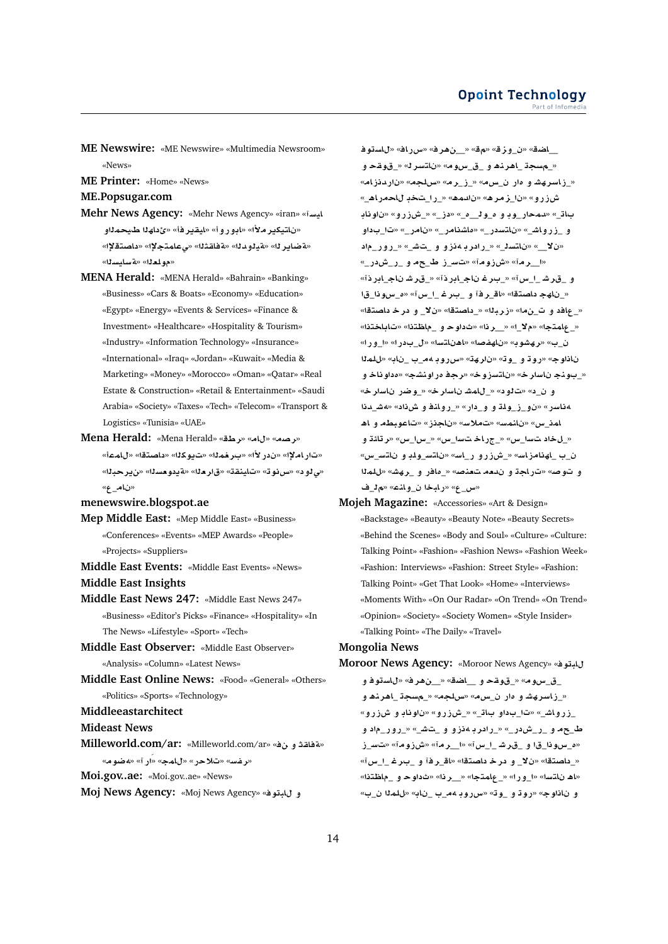- **ME Newswire:** «ME Newswire» «Multimedia Newsroom» «News»
- **ME Printer:** «Home» «News»

**ME.Popsugar.com**

- **Mehr News Agency:** «Mehr News Agency» «iran» «**FyA** «نا**تيكير ملأ**» «ادور و أ» «ليقير فأ» «ئ داھلا طبيحمالو «**³tOA** » «**³tmA¨**» «**qAT**» «**d¤yT**» «**r§ART**» «مه لعل<sup>»</sup> «Ä» سائسك»
- **MENA Herald:** «MENA Herald» «Bahrain» «Banking» «Business» «Cars & Boats» «Economy» «Education» «Egypt» «Energy» «Events & Services» «Finance & Investment» «Healthcare» «Hospitality & Tourism» «Industry» «Information Technology» «Insurance» «International» «Iraq» «Jordan» «Kuwait» «Media & Marketing» «Money» «Morocco» «Oman» «Qatar» «Real Estate & Construction» «Retail & Entertainment» «Saudi Arabia» «Society» «Taxes» «Tech» «Telecom» «Transport & Logistics» «Tunisia» «UAE»
- **Mena Herald:** «Mena Herald» «**Wr**» «**A**» «**Or**» «ت|راملإا» «ندر لأا» «بـرخمـلـا» «تـيوكلـا» «داصتـقا» «ل|مـعـأ» «**br§**» «**s`w §T**» «**`r**» «**qnyA**» «**wH**» « **¤¨**» «**ن**ام ع»

#### **menewswire.blogspot.ae**

- **Mep Middle East:** «Mep Middle East» «Business» «Conferences» «Events» «MEP Awards» «People» «Projects» «Suppliers»
- **Middle East Events:** «Middle East Events» «News» **Middle East Insights**
- **Middle East News 247:** «Middle East News 247» «Business» «Editor's Picks» «Finance» «Hospitality» «In The News» «Lifestyle» «Sport» «Tech»
- **Middle East Observer:** «Middle East Observer» «Analysis» «Column» «Latest News»
- **Middle East Online News:** «Food» «General» «Others» «Politics» «Sports» «Technology»
- **Middleeastarchitect**

**Mideast News**

- **Milleworld.com/ar:** «Milleworld.com/ar» « **¤ qAT**» «**wR¢**» «**CÁ**» «**mA**» «**C®**» «**Ffr**»
- **Moi.gov..ae:** «Moi.gov..ae» «News»
- **Moj News Agency:** «Moj News Agency» «**wbA ¤**

\_اضق» «<u>ن وز</u>ق» «مق» «\_\_ن هر ف» «س راف» «ل استوف «\_مسجة \_اهرند و\_ق\_سوم» «ناتسرك» «\_قوقح و «\_زاسرهشاو ماران\_سمه» «ازاره» «سلجمه «ناردنزامه «\_**¡ACA** \_**C**\_» «**¡md** » «**¡rz**\_» «**¤CEM Aw** » «**¤CEM**\_» «\_**E** » «\_**£**\_\_**w**\_**£ ¤ w**\_**Cmd**» «\_**A**  و \_زرواش\_» «ناتسدر\_» «ماشنامر\_» «نامر\_» «تا\_بداو «ن لا\_» «ناتسن<sub>ـ</sub>» «\_رادر بـه نزو و \_تش\_» «\_رور\_ماد «ا\_رمة» «ش(ومة» «تسرز ط\_حمول\_ر\_شدر\_» و \_قرشـ\_ا\_سi» «\_بىرغاناج\_ابرذi» «\_قرشاناج\_ابرذi» «\_ناھج داصتقا» «اق\_ر فـ ًا و\_\_بـر غـــــا\_س آ» «ه\_سو ذا\_قI «\_عافد و ت\_ن ما» «زرباله» <u>\_ داصتةا» «ن لا\_</u> و در خـ داصتةا» «**tAA**» «**t\A**\_ **¤ w** » «**r**\_\_» «\_**¯**» «**tmA**\_» ن\_ب» «رهشوب» «ناهفصه» «اهناتسه» «ل\_بدر ا» «ا\_و ر ا» **ml**» «**A** \_ \_**¢ wCx**» «**hr** » «**w**\_ **¤ wC**» «**wA**  «\_بونج ناسار خ» «ناتسزوخ» «رج**ف مر اونشج» «مداو ناخ و** و ن د» «تالو د» « للمشان اسار خ» « وضر ناسار خ» **d**\_**J¢**» « **L ¤ nA¤C**\_» «**C** \_**¤ ¤ lw**\_**E**\_**¤** » «**CFA¢** امذ\_س» «نانمس» «تملاس» «ناجذز» «تاعوبطه و اه «\_ل خاد تسا\_س» «\_جر اخ تسا\_س» «\_س|\_س» «ر تائة و ن\_ب \_لهنامزاس» «\_شزرو ر\_اسه «ناتس\_ولد و ناتس\_س» و توصه «تراجة و ندمه تعنصه «\_مافر و \_ره*ش*ه «للملا «س\_ع» «رابخا ن\_وانمه» «م<sup>1</sup>\_ف

**Mojeh Magazine:** «Accessories» «Art & Design» «Backstage» «Beauty» «Beauty Note» «Beauty Secrets» «Behind the Scenes» «Body and Soul» «Culture» «Culture: Talking Point» «Fashion» «Fashion News» «Fashion Week» «Fashion: Interviews» «Fashion: Street Style» «Fashion: Talking Point» «Get That Look» «Home» «Interviews» «Moments With» «On Our Radar» «On Trend» «On Trend» «Opinion» «Society» «Society Women» «Style Insider» «Talking Point» «The Daily» «Travel»

# **Mongolia News**

**Moroor News Agency:** «Moroor News Agency» «**wbA**

\_ق\_سوم» «\_قوقحو \_\_اضق» «\_\_ن هرف» «لاستوفو «\_زاسرهشاو دار ن\_س م» «سلجه» «\_مسجة\_اهرن**ه**او \_زرواش\_» «تا\_بداو باڌ\_» «\_شزرو» «ناوناڊ و شزرو» **¤** \_**C¤C**\_» «\_**J** \_ **¤ ¤E¢ r C**\_» «\_**C M**\_**C**\_ **¤** \_**ª E**\_**F** » «**wEM**» «**r**\_\_» «**x**\_\_ **Jr**\_ **¤** \_**wx**\_**£**» «\_داصتقا» «نلا\_ و در خـ داصتقا» «اقـ\_ر فـّ و \_بـر غـــا\_س آ» «اه ناتسا» «ا\_ورا» «\_علمتجا» «\_رنا» «ثداوحـو\_ماظتنا» و نا**ناوج» «روڌ و \_وڌ» «سرروڊ 4م\_ب \_ناب» «للم<sup>ر</sup>ا ن\_ب»**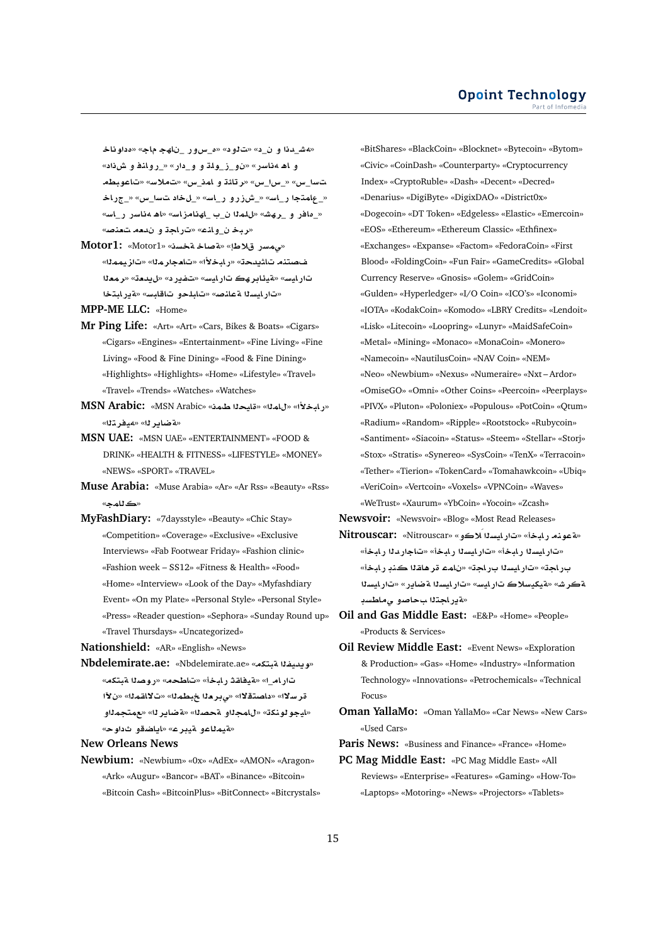«هش\_دذا و ن\_د» «ت1ود» «ه\_سوور \_نلهج ماج» «مداوناخـ و اه 4 ناسر» «ن و\_ز\_ولة و\_ودار» «\_روانة و ش**ن**اد» **WbwA**» «**F®** » «**x**\_**mA ¤ ·Ar**» «**x**\_**x**\_» «**x**\_**F**  «\_عِلمتجا ر\_اس» «\_شزرو ر\_اسه «\_لخاد تسا\_س» «\_جراخا «\_مافر و \_رهش» «للملا ن\_ب \_اهنامزاسه «اهـ مناسر ر\_اسه «**ربخ ن وانم» «تراجة و ندمه تعنص**ه

«مى هسر قلاط!» «**ماخ متحسن» «Motor1:** «Motor1» فحصتنه تاشيدحت» «ر ابخلاً» «تامجار ملل<sup>»</sup> «تاز يمملل» تارليس» «قيئابر هڪ تارليس» «تفير د» «ليدمت» «رمعنا «تار ايسنا ةعلنص» «تابلحو تاقابس» «ةير ابتخا

**MPP-ME LLC:** «Home»

- **Mr Ping Life:** «Art» «Art» «Cars, Bikes & Boats» «Cigars» «Cigars» «Engines» «Entertainment» «Fine Living» «Fine Living» «Food & Fine Dining» «Food & Fine Dining» «Highlights» «Highlights» «Home» «Lifestyle» «Travel» «Travel» «Trends» «Watches» «Watches»
- **MSN Arabic:** «MSN Arabic» «**mX yA**» «**mA**» «**±bAC**» «**بةضابر ل**ا» «مدفر 2**ئ**ا»
- **MSN UAE:** «MSN UAE» «ENTERTAINMENT» «FOOD & DRINK» «HEALTH & FITNESS» «LIFESTYLE» «MONEY» «NEWS» «SPORT» «TRAVEL»
- **Muse Arabia:** «Muse Arabia» «Ar» «Ar Rss» «Beauty» «Rss» «ك**ثام**ج»
- **MyFashDiary:** «7daysstyle» «Beauty» «Chic Stay» «Competition» «Coverage» «Exclusive» «Exclusive Interviews» «Fab Footwear Friday» «Fashion clinic» «Fashion week – SS12» «Fitness & Health» «Food» «Home» «Interview» «Look of the Day» «Myfashdiary Event» «On my Plate» «Personal Style» «Personal Style» «Press» «Reader question» «Sephora» «Sunday Round up» «Travel Thursdays» «Uncategorized»

**Nationshield:** «AR» «English» «News»

**Nbdelemirate.ae:** «Nbdelemirate.ae» «**ktbT fyd§w**» تارام\_ا» «مقيفاقة رابخأ» «تاطحم» «روصلا مقبتكم» قرسلاك «داصتقلا» «ي بر دا خبطمال» «ت لااقمال» «ن لاًا «ايجو لونكة» «لامجلاو مجصله» «<mark>مناير لله «ممتجمل</mark>او «**مقيم**ڻاعو م*ق*ير ع» «اياضقو ثداو حه

**New Orleans News**

**Newbium:** «Newbium» «0x» «AdEx» «AMON» «Aragon» «Ark» «Augur» «Bancor» «BAT» «Binance» «Bitcoin» «Bitcoin Cash» «BitcoinPlus» «BitConnect» «Bitcrystals» «BitShares» «BlackCoin» «Blocknet» «Bytecoin» «Bytom» «Civic» «CoinDash» «Counterparty» «Cryptocurrency Index» «CryptoRuble» «Dash» «Decent» «Decred» «Denarius» «DigiByte» «DigixDAO» «District0x» «Dogecoin» «DT Token» «Edgeless» «Elastic» «Emercoin» «EOS» «Ethereum» «Ethereum Classic» «Ethfinex» «Exchanges» «Expanse» «Factom» «FedoraCoin» «First Blood» «FoldingCoin» «Fun Fair» «GameCredits» «Global Currency Reserve» «Gnosis» «Golem» «GridCoin» «Gulden» «Hyperledger» «I/O Coin» «ICO's» «Iconomi» «IOTA» «KodakCoin» «Komodo» «LBRY Credits» «Lendoit» «Lisk» «Litecoin» «Loopring» «Lunyr» «MaidSafeCoin» «Metal» «Mining» «Monaco» «MonaCoin» «Monero» «Namecoin» «NautilusCoin» «NAV Coin» «NEM» «Neo» «Newbium» «Nexus» «Numeraire» «Nxt – Ardor» «OmiseGO» «Omni» «Other Coins» «Peercoin» «Peerplays» «PIVX» «Pluton» «Poloniex» «Populous» «PotCoin» «Qtum» «Radium» «Random» «Ripple» «Rootstock» «Rubycoin» «Santiment» «Siacoin» «Status» «Steem» «Stellar» «Storj» «Stox» «Stratis» «Synereo» «SysCoin» «TenX» «Terracoin» «Tether» «Tierion» «TokenCard» «Tomahawkcoin» «Ubiq» «VeriCoin» «Vertcoin» «Voxels» «VPNCoin» «Waves» «WeTrust» «Xaurum» «YbCoin» «Yocoin» «Zcash»

**Newsvoir:** «Newsvoir» «Blog» «Most Read Releases»

- **Nitrouscar:** «Nitrouscar» «**¤®Á syAC**» «**bAC nwT**» «ت|رايسنا رابخأ» «ت|رايسنا رابخأ» «تاجاردنا رابخأ» بر اجة» «تار ايسنا بر اجة» «نامـّ قر هاقـنا كـذبـ ر ابـخأ» **syAC**» «**C§ART syAC**» «**FyAC ®FykyT**» «**JrT** «ةيراجتلا بحاصو ى ماطسب
- **Oil and Gas Middle East:** «E&P» «Home» «People» «Products & Services»
- **Oil Review Middle East:** «Event News» «Exploration & Production» «Gas» «Home» «Industry» «Information Technology» «Innovations» «Petrochemicals» «Technical Focus»
- **Oman YallaMo:** «Oman YallaMo» «Car News» «New Cars» «Used Cars»

**Paris News:** «Business and Finance» «France» «Home»

**PC Mag Middle East:** «PC Mag Middle East» «All Reviews» «Enterprise» «Features» «Gaming» «How-To» «Laptops» «Motoring» «News» «Projectors» «Tablets»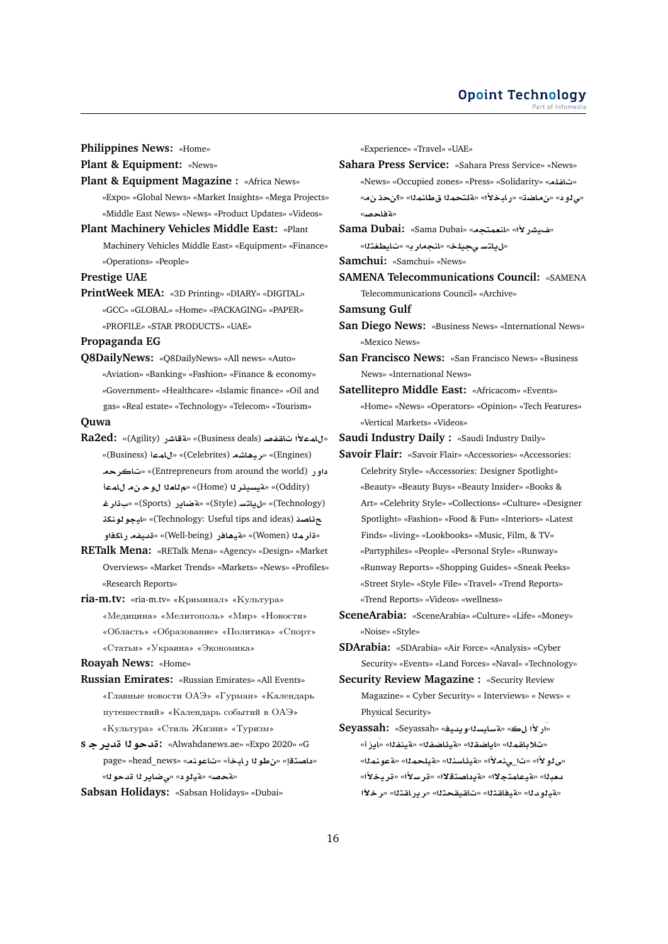**Philippines News:** «Home»

**Plant & Equipment:** «News»

- Plant & Equipment Magazine : «Africa News» «Expo» «Global News» «Market Insights» «Mega Projects» «Middle East News» «News» «Product Updates» «Videos»
- **Plant Machinery Vehicles Middle East:** «Plant Machinery Vehicles Middle East» «Equipment» «Finance» «Operations» «People»

**Prestige UAE**

**PrintWeek MEA:** «3D Printing» «DIARY» «DIGITAL» «GCC» «GLOBAL» «Home» «PACKAGING» «PAPER» «PROFILE» «STAR PRODUCTS» «UAE»

**Propaganda EG**

**Q8DailyNews:** «Q8DailyNews» «All news» «Auto» «Aviation» «Banking» «Fashion» «Finance & economy» «Government» «Healthcare» «Islamic finance» «Oil and gas» «Real estate» «Technology» «Telecom» «Tourism»

# **Quwa**

- **Ra2ed:** «(Agility) **CJAT**» «(Business deals) **}fqA ±mA**» «(Business) **mA**» «(Celebrites) **KA¡yr**» «(Engines) **rA**» «(Entrepreneurs from around the world) **C¤ mA w `A**» «(Home) **r¶ysyT**» «(Oddity) **r¶** » «(Sports) **C§ART**» «(Style) **FtA§**» «(Technology) **knwwyA**» «(Technology: Useful tips and ideas) **OA¶ ¤kAC fyd**» «(Well-being) **CA¡yT**» «(Women) **mr**»
- **RETalk Mena:** «RETalk Mena» «Agency» «Design» «Market Overviews» «Market Trends» «Markets» «News» «Profiles» «Research Reports»
- **ria-m.tv:** «ria-m.tv» «Криминал» «Культура» «Медицина» «Мелитополь» «Мир» «Новости» «Область» «Образование» «Политика» «Спорт» «Статьи» «Украина» «Экономика»

**Roayah News:** «Home»

- **Russian Emirates:** «Russian Emirates» «All Events» «Главные новости ОАЭ» «Гурман» «Календарь путешествий» «Календарь событий в ОАЭ» «Культура» «Стиль Жизни» «Туризм»
- **s r§d wd:** «Alwahdanews.ae» «Expo 2020» «G page» «head\_news» «**nwA**» «**bAC wV**» «**tOA** » «**لةحصه» «قيلود» «ي ضاير ل**ا قدحو لله»

**Sabsan Holidays:** «Sabsan Holidays» «Dubai»

«Experience» «Travel» «UAE»

- **Sahara Press Service:** «Sahara Press Service» «News» «News» «Occupied zones» «Press» «Solidarity» «**lfA**» «مى لو د» «ن ماضت» «ربابخلاًا» «قلتحملا ق طانملل» «كنحذ ن م» «**بة فاحص**»
- **Sama Dubai:** «Sama Dubai» «**tm`nA**» «**±CJy**» «ل ياتس ىجيلخ» «انجمار د» «تابطغتلا»

**Samchui:** «Samchui» «News»

**SAMENA Telecommunications Council:** «SAMENA Telecommunications Council» «Archive»

**Samsung Gulf**

- **San Diego News:** «Business News» «International News» «Mexico News»
- **San Francisco News:** «San Francisco News» «Business News» «International News»
- **Satellitepro Middle East:** «Africacom» «Events» «Home» «News» «Operators» «Opinion» «Tech Features» «Vertical Markets» «Videos»

**Saudi Industry Daily :** «Saudi Industry Daily»

- **Savoir Flair:** «Savoir Flair» «Accessories» «Accessories: Celebrity Style» «Accessories: Designer Spotlight» «Beauty» «Beauty Buys» «Beauty Insider» «Books & Art» «Celebrity Style» «Collections» «Culture» «Designer Spotlight» «Fashion» «Food & Fun» «Interiors» «Latest Finds» «living» «Lookbooks» «Music, Film, & TV» «Partyphiles» «People» «Personal Style» «Runway» «Runway Reports» «Shopping Guides» «Sneak Peeks» «Street Style» «Style File» «Travel» «Trend Reports» «Trend Reports» «Videos» «wellness»
- **SceneArabia:** «SceneArabia» «Culture» «Life» «Money» «Noise» «Style»

**SDArabia:** «SDArabia» «Air Force» «Analysis» «Cyber Security» «Events» «Land Forces» «Naval» «Technology»

- **Security Review Magazine :** «Security Review Magazine» « Cyber Security» « Interviews» « News» « Physical Security»
- **Seyassah:** «Seyassah» «**yd§w**-**syAFT**» « **±CÁ**» «**E§AÁ**» «**fnyT**» «**fSA¶yT**» «**qSA§A**» «**mqA®**» «بي لو لأا» «تالي:ملأا» «قيئاسنةلا» «قيلحمةا» «قعونمةا» ىمبلك» «قيعلمتجلاك» «<mark>قيداصتقلاك» «قرسلاًك» «قريخلاًك»</mark> **µr**» «**tqAC§r**» «**tqyqA**» «**qAyT**» «**d¤yT**»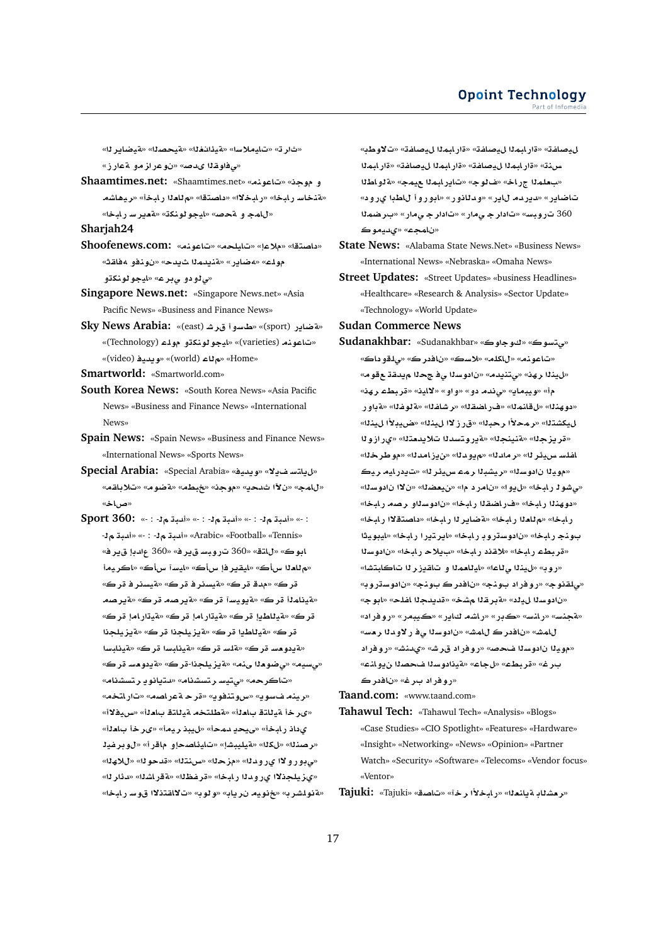«ثارت» «تايملاسا» «ةيذانغلا» «**متيحصل**ا» «ةيضاير له» «*قفاوهذا يدص» «نو*عراز مو م*ق*ارز»

**Shaamtimes.net:** «Shaamtimes.net» «**nwA**» «**w ¤** «هنخاس رابخا» «رابخلاا» «داصتقا» «م<sup>ل</sup>لعلا رابخأ» «ريهاشه «ل**امج و متحص» «ليجو لونكة» «مقير سر لبخ**ا»

**Sharjah24**

- **Shoofenews.com:** «**nwA**» «**lyA**» «**®**» «**tOA** » «**qA¢ ¤nw** » «**d§ md§nT**» «**C§AR¢**» «**lw** «*ی ڈو دو ی بر ع*» «ایجو ٹونکڌو
- **Singapore News.net:** «Singapore News.net» «Asia Pacific News» «Business and Finance News»
- Sky News Arabia: «(east) **«خاسوا قرش** (sport) Sky «(Technology) **lw ¤knwwyA**» «(varieties) **nwA**» «(video) **yd§w**» «(world) **A**» «Home»
- **Smartworld:** «Smartworld.com»
- **South Korea News:** «South Korea News» «Asia Pacific News» «Business and Finance News» «International News»
- **Spain News:** «Spain News» «Business and Finance News» «International News» «Sports News»
- **Special Arabia:** «Special Arabia» «**yd§w**» «**¯§ FtA§**» «لامج» «ن لآا شدحد» «موجد» «خبطه» «قضو م» «تلا باقه» «**AQ**»
- **Sport 360:** «- : - **bd**» «- : - **bd**» «- : - **bd**» «- : - **bd**» «- : - **bd**» «Arabic» «Football» «Tennis» «**r§ d** 360» «**r§ FbwC** 360» «**tA**» «**wA** «**م للعـل**ا سأك» «ايـقـير فإ سأك» «ايـسـآ سأك» «اكر يـمـأ «**r rsyT**» «**r rsyT**» «**r d**» «**r** «**تينام**ڻا قرڪ» «قيويسآ قرڪ» «قيرصد قرڪ» «قيرصد قرك» «قيللطيإ قرك» «قيتارامإ قرك» «قيتارامإ قرك» قرك» «قيللطيا قرك» «قيزيلجذا قرك» «قيزيلجذا «**ت**ددو مسر قر ك» «قلسر قر ك» «قيظبسار قر ك» «قيظبسا «**عسيم» «ي ضومنا ي:م» «ةيزيلجذا-قرك» «ةيدومس قرك»** «تاكر حه» «ىتيسارتسشنام» «دتيانو يارت*سش*نام» «**رينه فسوي» «سوتنفوي» «قرحـةعراصله» «تاراتخه»** «*ئىر خ*اْ مْيللتة باملااْ» «مْطلتخە مْيللتة باملااْ» «س $\mathbf{u}$ ا» يداذ ر ابخأ» «*ى*يحدٍ ممحأ» «ليبذ ريمأ» «ىر خأ باهلأ» «بر صنـلـ» «لكلله» «قيليبشل» «تـليئـلصحـلو ماقر أ» «ل0و بر غيلـ «مي بورولاا ي رومانا» «مزحلا» «سينتلا» «قدحولا» «للامانا» «ىزيلجذلاا ىرودنا رابخا» «قرفظنا» «**مقراشنا» «دئارنا»** «مةنولشرب» «خنويه نرياب» «ولوب» «تلالقتنلاا قوسربابخا»

ل<u>ي</u>صلفة» «ةار ابماا ليصلفة» «ةار ابماا ليصلفة» «تالاوطب» **mbAC**» «**fA}y mbAC**» «**fA}y mbAC**» «**nH** «بعلمنا جراخ» «فالوج» «تاير ابمنا عيمج» «ةنواطنا تاضاير» «ديردم لاير» «ودلانور» «ابوروأ للطبا يرود» 360 تاروبس» «تادار ج*ـ ي*مار» «تادار جـ *ي*مار» «بـرضمـلا **wyd©**» «**mA** »

- **State News:** «Alabama State News.Net» «Business News» «International News» «Nebraska» «Omaha News»
- **Street Updates:** «Street Updates» «business Headlines» «Healthcare» «Research & Analysis» «Sector Update» «Technology» «World Update»

**Sudan Commerce News**

**Sudanakhbar:** «Sudanakhbar» «**ww**» «**wFt¨**» «تاعونه» «للكله» «لاسك» «نافدر ك» «<sub>حا</sub>لقو داك» «لينذا رهذ» «يتنيدم» «نادوسذا ي فجح**دًا ميدقة م**قوم» «**hr Wbr**» «**yA¯**» «**¤¤**» «**¤ d¨**» «**§Abyw**» « «دوهذله» «لقانمله» «فراضقله» «رشاغله» «قلوغله» «قواور ل، عشتله» «رمحلاًا رحبله» «قرز لاا ل، ينله» «ضيبلاًا ل، ينله» «قريزجلا» «قنينجلا» «قيروتسدل<sub>ا</sub>تلايدمتلا» «ىرازولا اغلسـ س.يئر لل» «ر مادلل» «م.يودلل» «ن.يز امدلل» «مو طر خلل» «موينا نادوسنا» «ريشبنا رمه سيئرنا» «تيدرليه ريك «می شو 1 ر ایخا» «ل یو ا» «نامر د ما» «ن **یعضدا»** «ن لاا نادوسدا» «دو هن**نا رايخا» «فراضقنا رايخا» «نادوسناو رصه رايخا»** ر ابخا» «م<sup>ل</sup>ادا ر ابخا» «ةضاير لـ ر ابخا» «داصتقلاا ر ابخا» بونج رابخا» «نادوسڌروڊ رابخا» «ايرتيرا رابخا» «ايبويثا **sw** » «**bAC ®§** » «**bAC q®**» «**bAC Wbr**» «روب» «لينذا ى<sup>ل</sup>اعا» «ايللعمدا و تاقيزر لـ تاكابتشا» «*ڀ*لقنوج» «روفر اد بونج» «نافدر ڪ بونج» «نادوسڌروبه «نادوسلا ل، إليه» «قبر قلا مشخ» «قديدجلا اغلح» «ابوج» «قجنس» «رانس» «ڪڊر» «راشم **كاير» «ڪيبمر» «روفراد**» للمش» «نافدر ك للمش» «نادوسنا ي ف ر لاو دنا رمس» «موي**نا نادوسنا فحص**» «روفر اد قرش» «ىدنش» «روفر اد ب رغ» «قر بطء» «لجاع» «قيذادوسـلا فحصـلا ن.يو انـّــه» «رو فر اد بر غ» «ن<mark>افدر ڪ</mark>

**Taand.com:** «www.taand.com»

**Tahawul Tech:** «Tahawul Tech» «Analysis» «Blogs» «Case Studies» «CIO Spotlight» «Features» «Hardware» «Insight» «Networking» «News» «Opinion» «Partner Watch» «Security» «Software» «Telecoms» «Vendor focus» «Ventor»

**Tajuki:** «Tajuki» «**OA**» «**r ±bAC**» «**`nA§T AK`r**»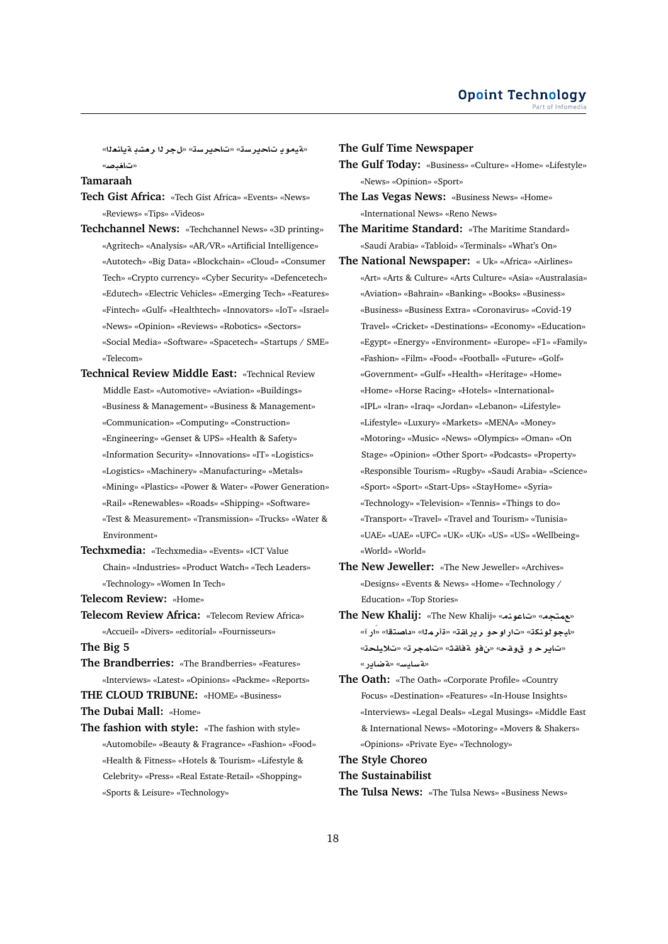«مقيمو يا تـاحير سـة» «تـاحير سـة» «ل**ـجـر 11 رحشبـ مقيانـعـدا»** «ت**اف**دصه»

**Tamaraah**

- **Tech Gist Africa:** «Tech Gist Africa» «Events» «News» «Reviews» «Tips» «Videos»
- **Techchannel News:** «Techchannel News» «3D printing» «Agritech» «Analysis» «AR/VR» «Artificial Intelligence» «Autotech» «Big Data» «Blockchain» «Cloud» «Consumer Tech» «Crypto currency» «Cyber Security» «Defencetech» «Edutech» «Electric Vehicles» «Emerging Tech» «Features» «Fintech» «Gulf» «Healthtech» «Innovators» «IoT» «Israel» «News» «Opinion» «Reviews» «Robotics» «Sectors» «Social Media» «Software» «Spacetech» «Startups / SME» «Telecom»
- **Technical Review Middle East:** «Technical Review Middle East» «Automotive» «Aviation» «Buildings» «Business & Management» «Business & Management» «Communication» «Computing» «Construction» «Engineering» «Genset & UPS» «Health & Safety» «Information Security» «Innovations» «IT» «Logistics» «Logistics» «Machinery» «Manufacturing» «Metals» «Mining» «Plastics» «Power & Water» «Power Generation» «Rail» «Renewables» «Roads» «Shipping» «Software» «Test & Measurement» «Transmission» «Trucks» «Water & Environment»
- **Techxmedia:** «Techxmedia» «Events» «ICT Value Chain» «Industries» «Product Watch» «Tech Leaders» «Technology» «Women In Tech»
- **Telecom Review:** «Home»
- **Telecom Review Africa:** «Telecom Review Africa» «Accueil» «Divers» «editorial» «Fournisseurs»
- **The Big 5**
- **The Brandberries:** «The Brandberries» «Features» «Interviews» «Latest» «Opinions» «Packme» «Reports»
- **THE CLOUD TRIBUNE:** «HOME» «Business»

**The Dubai Mall:** «Home»

**The fashion with style:** «The fashion with style» «Automobile» «Beauty & Fragrance» «Fashion» «Food» «Health & Fitness» «Hotels & Tourism» «Lifestyle & Celebrity» «Press» «Real Estate-Retail» «Shopping» «Sports & Leisure» «Technology»

#### **The Gulf Time Newspaper**

**The Gulf Today:** «Business» «Culture» «Home» «Lifestyle» «News» «Opinion» «Sport»

**The Las Vegas News:** «Business News» «Home» «International News» «Reno News»

- **The Maritime Standard:** «The Maritime Standard» «Saudi Arabia» «Tabloid» «Terminals» «What's On»
- **The National Newspaper:** « Uk» «Africa» «Airlines» «Art» «Arts & Culture» «Arts Culture» «Asia» «Australasia» «Aviation» «Bahrain» «Banking» «Books» «Business» «Business» «Business Extra» «Coronavirus» «Covid-19 Travel» «Cricket» «Destinations» «Economy» «Education» «Egypt» «Energy» «Environment» «Europe» «F1» «Family» «Fashion» «Film» «Food» «Football» «Future» «Golf» «Government» «Gulf» «Health» «Heritage» «Home» «Home» «Horse Racing» «Hotels» «International» «IPL» «Iran» «Iraq» «Jordan» «Lebanon» «Lifestyle» «Lifestyle» «Luxury» «Markets» «MENA» «Money» «Motoring» «Music» «News» «Olympics» «Oman» «On Stage» «Opinion» «Other Sport» «Podcasts» «Property» «Responsible Tourism» «Rugby» «Saudi Arabia» «Science» «Sport» «Sport» «Start-Ups» «StayHome» «Syria» «Technology» «Television» «Tennis» «Things to do» «Transport» «Travel» «Travel and Tourism» «Tunisia» «UAE» «UAE» «UFC» «UK» «UK» «US» «US» «Wellbeing» «World» «World»
- **The New Jeweller:** «The New Jeweller» «Archives» «Designs» «Events & News» «Home» «Technology / Education» «Top Stories»
- **The New Khalij:** «The New Khalij» «**nwA**» «**tm**» «ل**يجو لونك**ة» «تار او حو ر ير لقة» «ةأر ملك» «دلصنقك «ار آ» «تابر حـ و قوقـح» «نفو ةفاقـث» «تامجر ته «تلايلحـّة» «**ت**ه سامس» «**ته ضادر** »
- **The Oath:** «The Oath» «Corporate Profile» «Country Focus» «Destination» «Features» «In-House Insights» «Interviews» «Legal Deals» «Legal Musings» «Middle East & International News» «Motoring» «Movers & Shakers» «Opinions» «Private Eye» «Technology»

# **The Style Choreo**

#### **The Sustainabilist**

**The Tulsa News:** «The Tulsa News» «Business News»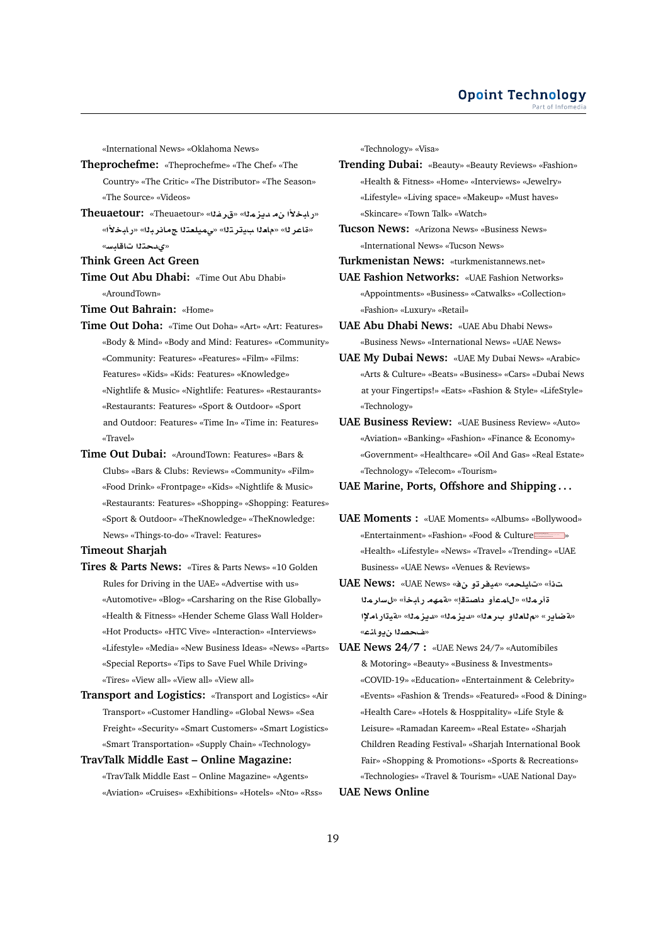«International News» «Oklahoma News»

**Theprochefme:** «Theprochefme» «The Chef» «The Country» «The Critic» «The Distributor» «The Season» «The Source» «Videos»

- **Theuaetour:** «Theuaetour» «**fr**» «**mz§d ±bAC**» «قاعر لـ» «ماملا ب1تر تله» «ىميلعتلا جمانر بله» «رابخلاً» «*ىدح*تلا تاقا*دس*»
- **Think Green Act Green**
- **Time Out Abu Dhabi:** «Time Out Abu Dhabi» «AroundTown»

**Time Out Bahrain:** «Home»

- **Time Out Doha:** «Time Out Doha» «Art» «Art: Features» «Body & Mind» «Body and Mind: Features» «Community» «Community: Features» «Features» «Film» «Films: Features» «Kids» «Kids: Features» «Knowledge» «Nightlife & Music» «Nightlife: Features» «Restaurants» «Restaurants: Features» «Sport & Outdoor» «Sport and Outdoor: Features» «Time In» «Time in: Features» «Travel»
- **Time Out Dubai:** «AroundTown: Features» «Bars & Clubs» «Bars & Clubs: Reviews» «Community» «Film» «Food Drink» «Frontpage» «Kids» «Nightlife & Music» «Restaurants: Features» «Shopping» «Shopping: Features» «Sport & Outdoor» «TheKnowledge» «TheKnowledge: News» «Things-to-do» «Travel: Features»

# **Timeout Sharjah**

- **Tires & Parts News:** «Tires & Parts News» «10 Golden Rules for Driving in the UAE» «Advertise with us» «Automotive» «Blog» «Carsharing on the Rise Globally» «Health & Fitness» «Hender Scheme Glass Wall Holder» «Hot Products» «HTC Vive» «Interaction» «Interviews» «Lifestyle» «Media» «New Business Ideas» «News» «Parts» «Special Reports» «Tips to Save Fuel While Driving» «Tires» «View all» «View all» «View all»
- **Transport and Logistics:** «Transport and Logistics» «Air Transport» «Customer Handling» «Global News» «Sea Freight» «Security» «Smart Customers» «Smart Logistics» «Smart Transportation» «Supply Chain» «Technology»
- **TravTalk Middle East Online Magazine:** «TravTalk Middle East – Online Magazine» «Agents» «Aviation» «Cruises» «Exhibitions» «Hotels» «Nto» «Rss»

«Technology» «Visa»

- **Trending Dubai:** «Beauty» «Beauty Reviews» «Fashion» «Health & Fitness» «Home» «Interviews» «Jewelry» «Lifestyle» «Living space» «Makeup» «Must haves» «Skincare» «Town Talk» «Watch»
- **Tucson News:** «Arizona News» «Business News» «International News» «Tucson News»

**Turkmenistan News:** «turkmenistannews.net»

- **UAE Fashion Networks:** «UAE Fashion Networks» «Appointments» «Business» «Catwalks» «Collection» «Fashion» «Luxury» «Retail»
- **UAE Abu Dhabi News:** «UAE Abu Dhabi News» «Business News» «International News» «UAE News»
- **UAE My Dubai News:** «UAE My Dubai News» «Arabic» «Arts & Culture» «Beats» «Business» «Cars» «Dubai News at your Fingertips!» «Eats» «Fashion & Style» «LifeStyle» «Technology»
- **UAE Business Review:** «UAE Business Review» «Auto» «Aviation» «Banking» «Fashion» «Finance & Economy» «Government» «Healthcare» «Oil And Gas» «Real Estate» «Technology» «Telecom» «Tourism»

# **UAE Marine, Ports, Offshore and Shipping . . .**

- **UAE Moments :** «UAE Moments» «Albums» «Bollywood» «Entertainment» «Fashion» «Food & Culture » «Health» «Lifestyle» «News» «Travel» «Trending» «UAE Business» «UAE News» «Venues & Reviews»
- **UAE News:** «UAE News» « **¤ry¢**» «**lyA**» « قأر مثل<sup>»</sup> «للمعأو الصنقلِ» «قمهم رايخأ» «لسار مثل «**aَضاير» «م للعلاو بر مل**ا» «ديز ملا» «ديز ملا» «ةيةار املإا «**ضحصنا ن**يو انته»
- **UAE News 24/7 :** «UAE News 24/7» «Automibiles & Motoring» «Beauty» «Business & Investments» «COVID-19» «Education» «Entertainment & Celebrity» «Events» «Fashion & Trends» «Featured» «Food & Dining» «Health Care» «Hotels & Hosppitality» «Life Style & Leisure» «Ramadan Kareem» «Real Estate» «Sharjah Children Reading Festival» «Sharjah International Book Fair» «Shopping & Promotions» «Sports & Recreations» «Technologies» «Travel & Tourism» «UAE National Day»

# **UAE News Online**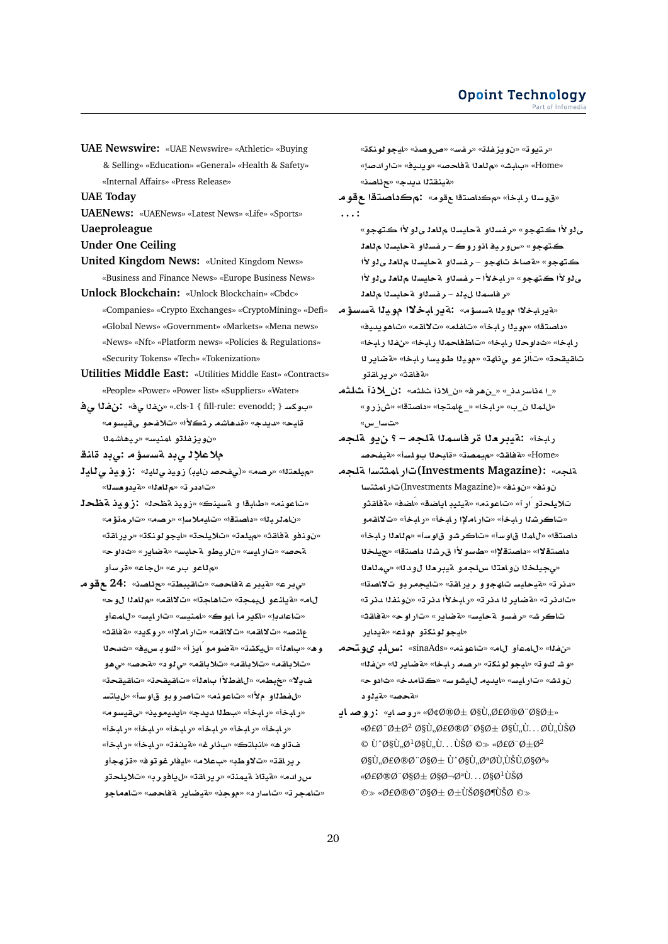**UAE Newswire:** «UAE Newswire» «Athletic» «Buying & Selling» «Education» «General» «Health & Safety» «Internal Affairs» «Press Release»

**UAE Today**

- **UAENews:** «UAENews» «Latest News» «Life» «Sports» **Uaeproleague**
- **Under One Ceiling**
- **United Kingdom News:** «United Kingdom News» «Business and Finance News» «Europe Business News»
- **Unlock Blockchain:** «Unlock Blockchain» «Cbdc» «Companies» «Crypto Exchanges» «CryptoMining» «Defi» «Global News» «Government» «Markets» «Mena news» «News» «Nft» «Platform news» «Policies & Regulations» «Security Tokens» «Tech» «Tokenization»
- **Utilities Middle East:** «Utilities Middle East» «Contracts» «People» «Power» «Power list» «Suppliers» «Water»
- **¨ f:** «**¨ f**» «.cls-1 { fill-rule: evenodd; } **Fkw** » «**wFyqY ¤f®**» «**±r KA¡d**» «**d§d**» «**yA** «نويزغلتو امني*س*» «ريفاشملا
- ملاعلإل*ـى*بد ¤سسؤمـ :يبد قانـة
- **yA¨ ywE:** «**yA¨ ywE** (**yA }f¨**)» «**Or**» «**t`ly**» «تاددر ت<sup>»</sup> «م للعلا» «ة ددو مسلا»
- «تاعونه» «طابقا و م*تسي*نك» «زويد مقطحك» :زويد مقطحه «**¥mr**» «**Or**» «**F®yA**» «**tOA** » «**brmA** » «نودفو ةفاقث» «ميلعة» «تلايلحة» «ليجو لونكة» «رابر اقة» «**w** » «**C§ART**» «**FyAT ¤Vyr** » «**FyAC**» «**}T ¤Fr**» «**A**» «**r ¤A**»
- **w 24:** «**OA¶**» «**WbyqA**» «**}AT ryT**» «**r¨**» «**w `A**» «**qA¯**» «**A¡A**» «**my ¤nA§T**» «**A ¤mA**» «**FyAC**» «**FynmA**» «**wA r§kA**» «**dA**» مانص» «تلااقم» «تلااقم» «تاراملإا» «روكيد» «ةفاقث» وه» «با**م**ـُـلأ» «ل،يكشة» «ةضومو ايزأ» «كوبـ س.يف» «ثدحلا **¤¡¨**» «**}T**» « **¤¨**» «**qA®**» «**qA®**» «**qA®**» ف1ٍلا» «غبطهـ» «للفطلاًا بـا**م**ـلة» «تـاقـيـقـحـة» «تـاقـيـقـحـة «لفطلاو ملأا» «تناعونه» «تناصروبو قاوسة» «ليلتس «رابخأ» «رابخأ» «بطلة ميمك» «ايديموينه «ىقيسوم» «**bAC**» «**bAC**» «**bAC**» «**bAC**» «**bAC**» «**bAC**» «**bAC**» «**bAC**» «**@§T**» «**r¶** » «**tAnA**» «**¡w ¤hz**» «**wwryA**» «**®** » «**Ww¯**» «**qAC§r** س رادم» «هيتاذ هيمنة» «ريراهة» «ليافورب» «تلايلحتو «تامجرته «تاسارد» «موجنه «قيضاير قفاحصه «تامماجو

«**knwwyA**» «**OwQ**» «**Ffr**» «**lfz§w** » «**w§tr**» «Home» «بـابـش» «م لـامـلا a فـاحـصـ» «و يـدـيـف» «تـار ادـصـاٍ» «**مَينقت**لا ديدج» «ح**ئاص**ن»

- «قوسنا رابخاً» «مكداصتقا عقوم» :مكداصتقا ع قوم **. . . :**
	- ي لو لأا كتهجو » «ر فسل**او ة حليسلا م للعل**ي لو لأا كتهجو » ڪتهجو» «س9ري<mark>د انوروڪ – رفسئلو قحليسئا ۾ئا</mark>دڙ ڪتهجو» «**¤صاخ تاهجو – رضس**ناو ¤حايسنا م**نا**ءني نولاًا ى *دو لأا كتهجو*» «رابخلأا – رغسناو ةحايسنا م للعا ي لو لأا «ر فاسم<sup>ز</sup>ا لµند – ر *فس*ناو 1ه حايسنا م**نا**دن
- «**¤يرابخلاا موينا ¤سسؤم» :ةير ابخلاا موينا ¤سسؤم** «**yd§w¡A**» «**qA¯**» «**lfA**» «**bAC yw**» «**tOA** » ر ابخا» «ثداوحلا ر ابخا» «تاظفاحملا ر ابخا» «نفلا ر ابخا» **r§ART**» «**bAC Fywª yw**» «**hA¨ ¤zÁA**» «**qyqA ¤qAC§r**» «**qAT**»
- «\_ا مناسر دن\_» «\_ن هر فه «ن\_لاذا شلثه» :ن\_لاذا شلثهـ «للملا ن\_ب» «ر.ابخا» «\_عامتجا» «داصتقا» «شزرو» «**ت**سا\_س»
- رابخاً» :ةيبرهلا قر فاسملا قلجه ؟ ن<u>يو</u> قلجه **}fyT**» «**Flw yA**» «**Omy**» «**qAT**» «Home»
- **lT FtmAC(Investments Magazine):** «**lT FtmAC**(Investments Magazine)» «**nw** » «**nw ¤qAT**» «**SAÁ**» «**SA§A y·yT**» «**nwA**» «**CÁ ¤ly®** «تاكر ش<sup>ل</sup>ا ر ابخأ» «تار املإا ر ابخأ» «ر ابخأ» «تلااقمو داصتقل<sup>»</sup> «للملا قاوساً» «تاكر شو قاوساً» «ملعلا رليخاً» داصتقلاا» «داصتقلإا» «طاسو لأا قرشلا داصتقا» «جيلخلا «مجيلخ**نا نوامتنا سلجمو ميبرمنا لودن**ا» «ممللعنا «دنر ته «ةيحايس تاهجو و ريرافة» «تايجمر بو تلااصةا» «تادنر ت» «ةضاير **ن**ا دنر ته «رابخلأا دنر ته «نونفلا دنر ته «**qAT**» «**wC**» «**C§ART**» «**FyAT ¤Ffr**» «**JrA** «ايجو لونك**تو مول**ك» «قيداير
- **tw« lH:** «sinaAds» «**nwA**» «**A ¤mA**» «**f**» «وشـ كـوت» «ليجو لونكت» «رصم رابخا» «ةضاير لل<sup>»</sup> «نفلال» «**w** » «**dA**» «**FwJyA yd§A**» «**FyAC**» «**J·w**  «*لقحص***» «لقدارو د**
- «*Q*¢Ø®Ø± اÙ,,أخØ™%§Ø±» «روصداي» :روصد اب  $\mathscr{A}$  $\mathscr{A}$  $\mathscr{D}$   $\mathscr{D}$   $\mathscr{A}$   $\mathscr{D}$   $\mathscr{A}$   $\mathscr{A}$   $\mathscr{A}$   $\mathscr{D}$   $\mathscr{D}$   $\mathscr{D}$   $\mathscr{D}$   $\mathscr{D}$   $\mathscr{D}$   $\mathscr{D}$   $\mathscr{D}$   $\mathscr{D}$   $\mathscr{D}$   $\mathscr{D}$   $\mathscr{D}$   $\mathscr{D}$   $\mathscr{D}$   $\mathscr{D}$   $\mathscr{D}$  $\odot$  U^اÙ, Ø<sup>1</sup>اÙ, Ù. . . ÙŠØ  $\odot \gg \omega$ EبØ $\pm \omega^2$  $\mathcal{O}$ sÙ.. $\mathcal{O}$ £Ø®Ø¨Ø§Ø $\pm$ واÙ...تØÙ.ÙŠÙ.ات» «Ø£Ø®Ø¨Ø§Ø± اØ¬تÙ. . . اØ1ÙŠØ  $\circledcirc$  «Ø£Ø®Ø¨Ø§Ø $\pm$  Ø $\pm$ ياضÙŠØ  $\circledcirc$ »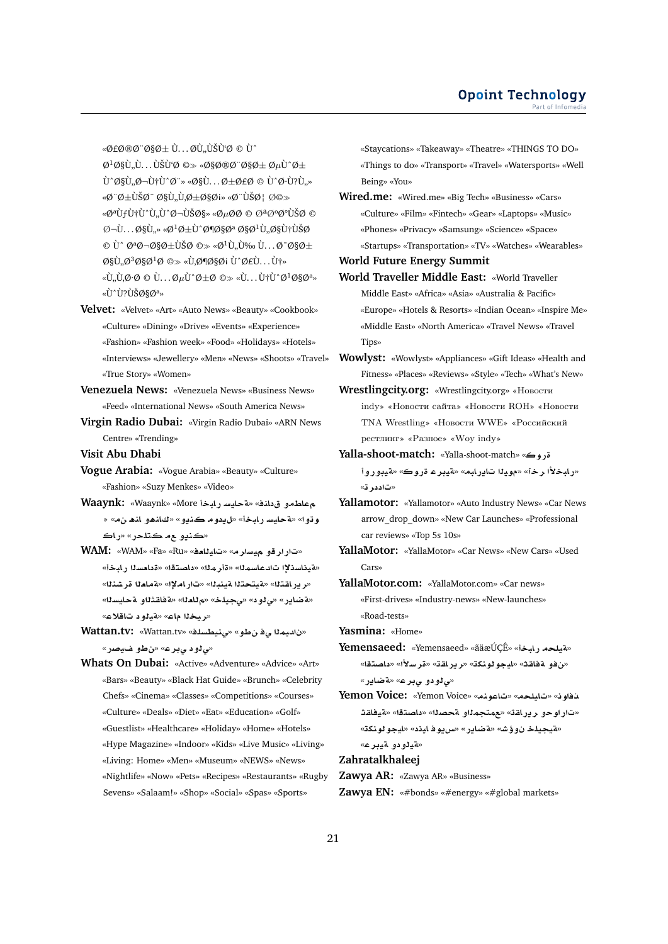$\mathscr{A}$ *e*ø®ø¨ø§ø $\pm$  Ù... øÙ"ÙŠÙʻØ © Ù^  $\varnothing^1\varnothing$ §Ù, Ù. . . ÙŠÙʻØ © » «Ø§Ø®Ø¨Ø§Ø $\pm$  Ø $\mu$ Ù^Ø $\pm$  $\dot{U}^{\wedge} \mathcal{O} \S \dot{U}$ ,  $\mathcal{O} - \dot{U} \dagger \dot{U}^{\wedge} \mathcal{O}$  :  $\sim$   $\mathcal{O} \S \dot{U}$ . . .  $\mathcal{O} \pm \mathcal{O} \epsilon$  $\mathcal{O}$   $\dot{U}^{\wedge} \mathcal{O} \cdot \dot{U}$ ? $\dot{U}$ , «Ø¨Ø±ÙŠØ¯ اÙ"Ù,راØi» «Ø¨ÙŠØ¦ Ø©» «ØªÙƒÙ†Ù^Ù"Ù^جيا» «ØμØØ © تذذÙŠØ ©  $\mathcal{O}$   $\neg$ U...  $\emptyset$ §Ù..» « $\emptyset^1\emptyset \pm U$ ^ $\emptyset$ ¶ $\emptyset$ § $\emptyset^a$   $\emptyset$ § $\emptyset^1$ Ù.. $\emptyset$ §Ù†ÙŠ $\emptyset$  $\circ$  Ù^ تجاØ $\pm$ ÙŠØ  $\circ$  «Ø $^1$ Ù"Ù‰ Ù...داØ $\pm$  $\mathcal{O}\S\mathcal{U}, \mathcal{O}^3\mathcal{O}\S\mathcal{O}^1\mathcal{O} \implies \mathcal{U}, \mathcal{O}\P\mathcal{O}\S\mathcal{O}$ i Ù' $\mathcal{O}\mathcal{E}\mathcal{U}, \ldots$ Ùt»  $\langle \hat{U}, \hat{U}, \hat{Q} \cdot \hat{Q} \rangle \otimes \hat{U} \ldots \hat{Q} \mu \hat{U} \hat{Q} \pm \hat{Q} \otimes \cdots \otimes \hat{U} \ldots \hat{U} \dagger \hat{U} \hat{Q} \hat{Q} \hat{Q} \hat{Q}^{a} \rangle$ «LL, LISLISOSO<sup>a»</sup>

- **Velvet:** «Velvet» «Art» «Auto News» «Beauty» «Cookbook» «Culture» «Dining» «Drive» «Events» «Experience» «Fashion» «Fashion week» «Food» «Holidays» «Hotels» «Interviews» «Jewellery» «Men» «News» «Shoots» «Travel» «True Story» «Women»
- **Venezuela News:** «Venezuela News» «Business News» «Feed» «International News» «South America News»
- **Virgin Radio Dubai:** «Virgin Radio Dubai» «ARN News Centre» «Trending»
- **Visit Abu Dhabi**
- **Vogue Arabia:** «Vogue Arabia» «Beauty» «Culture» «Fashion» «Suzy Menkes» «Video»
- **Waaynk:** «Waaynk» «More **bAC FyAT**» «**nA ¤WA** و ڌو ا» «¤حايسـ رابخأ» «ل1يدو مـ ڪنديو » «كاندهو انده ن4» « «ڪنڍو جم ڪت*دح*ر» «راڪ
- WAM: «WAM» «Fa» «Ru» «تار ار قو ميسار مه «تايللعف» «مقيناسنلا! تادعاسملل» «قأر ملل» «داصتقا» «قدامسلا رابخاً» «**ر در اغت**لا» «فيتحتلا فينبلا» «تار املإا» «فماملا قر شنلا» «a ضاير» «ي *لو*د» «يجيلخ» «م للعل<sup>ل</sup>» «ة فاقثلاو لة حليسل<sup>ل</sup>» «**ريخ**لا ماع» «قيلود تاقلاع»
- **Wattan.tv:** «Wattan.tv» «**lsWyn¨**» «**¤V ¨ myd** » «**ص لود مي بر ع» «ن طو غيص**ر»
- **Whats On Dubai:** «Active» «Adventure» «Advice» «Art» «Bars» «Beauty» «Black Hat Guide» «Brunch» «Celebrity Chefs» «Cinema» «Classes» «Competitions» «Courses» «Culture» «Deals» «Diet» «Eat» «Education» «Golf» «Guestlist» «Healthcare» «Holiday» «Home» «Hotels» «Hype Magazine» «Indoor» «Kids» «Live Music» «Living» «Living: Home» «Men» «Museum» «NEWS» «News» «Nightlife» «Now» «Pets» «Recipes» «Restaurants» «Rugby Sevens» «Salaam!» «Shop» «Social» «Spas» «Sports»

«Staycations» «Takeaway» «Theatre» «THINGS TO DO» «Things to do» «Transport» «Travel» «Watersports» «Well Being» «You»

**Wired.me:** «Wired.me» «Big Tech» «Business» «Cars» «Culture» «Film» «Fintech» «Gear» «Laptops» «Music» «Phones» «Privacy» «Samsung» «Science» «Space» «Startups» «Transportation» «TV» «Watches» «Wearables»

**World Future Energy Summit**

**World Traveller Middle East:** «World Traveller Middle East» «Africa» «Asia» «Australia & Pacific» «Europe» «Hotels & Resorts» «Indian Ocean» «Inspire Me» «Middle East» «North America» «Travel News» «Travel Tips»

**Wowlyst:** «Wowlyst» «Appliances» «Gift Ideas» «Health and Fitness» «Places» «Reviews» «Style» «Tech» «What's New»

- **Wrestlingcity.org:** «Wrestlingcity.org» «Новости indy» «Новости сайта» «Новости ROH» «Новости TNA Wrestling» «Новости WWE» «Российский рестлинг» «Pазное» «Wоу indy»
- **Yalla-shoot-match:** «Yalla-shoot-match» «**wC** «رابخلأا رخآ» «موينا تايرابه» «قيبر *ع* قروك» «قيبوروأ «ت**اددر ت**ه
- **Yallamotor:** «Yallamotor» «Auto Industry News» «Car News arrow\_drop\_down» «New Car Launches» «Professional car reviews» «Top 5s 10s»
- **YallaMotor:** «YallaMotor» «Car News» «New Cars» «Used Cars»
- **YallaMotor.com:** «YallaMotor.com» «Car news» «First-drives» «Industry-news» «New-launches» «Road-tests»

**Yasmina:** «Home»

- **Yemensaeed:** «Yemensaeed» «ãäæÚCÊ» «هقيلجه) «من فو لقافة» «ليجو لونكة» «رير لقة» «قرسلاًا» «داصتقا» «**ي**1و دو يبر ع» «ةضاير »
- **Yemon Voice:** «Yemon Voice» «**nwA**» «**lyA**» «**w@** «تار او حو ر ير اقة» «ممتجم<sup>ز</sup>او ةحصنا» «داصتقا» «ةيفاقث «**لقيجيلخ نوؤش» «ةضاير» «سريوف اي**ذد» «ايجو لونكة» «**تي**لودو قيدر ع»

**Zahratalkhaleej**

- **Zawya AR:** «Zawya AR» «Business»
- **Zawya EN:** «#bonds» «#energy» «#global markets»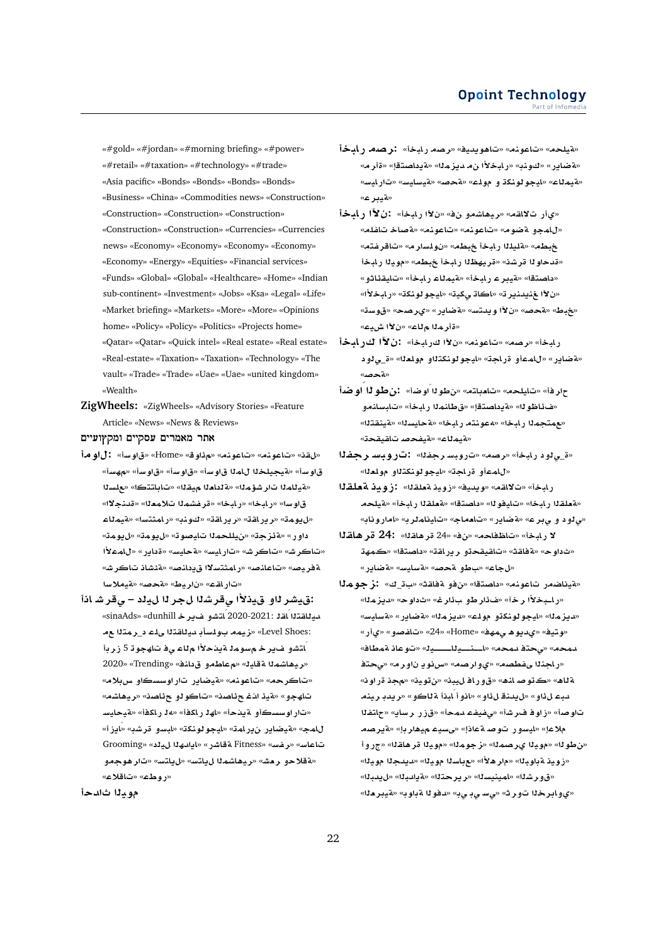«#gold» «#jordan» «#morning briefing» «#power» «#retail» «#taxation» «#technology» «#trade» «Asia pacific» «Bonds» «Bonds» «Bonds» «Bonds» «Business» «China» «Commodities news» «Construction» «Construction» «Construction» «Construction» «Construction» «Construction» «Currencies» «Currencies news» «Economy» «Economy» «Economy» «Economy» «Economy» «Energy» «Equities» «Financial services» «Funds» «Global» «Global» «Healthcare» «Home» «Indian sub-continent» «Investment» «Jobs» «Ksa» «Legal» «Life» «Market briefing» «Markets» «More» «More» «Opinions home» «Policy» «Policy» «Politics» «Projects home» «Qatar» «Qatar» «Quick intel» «Real estate» «Real estate» «Real-estate» «Taxation» «Taxation» «Technology» «The vault» «Trade» «Trade» «Uae» «Uae» «united kingdom» «Wealth»

**ZigWheels:** «ZigWheels» «Advisory Stories» «Feature Article» «News» «News & Reviews»

אתר מאמרים עסקיים ומקץועיים

- **w:** «**Fw**» «Home» «**w¶**» «**nwA**» «**nwA**» «**q**» قاوساً» «<mark>تيجيلخذا للمذا قاوساً» «قاوساً» «قاوساً» «مهساً»</mark> «هينلمنا تار شؤمنا» «**مقلطنا ميقنا» «تاباتتكا» «علسن**ا قاو سا» «ر ابخا» «ر ابخا» «قر فشملا تلامعلل» «قدنجلال» **AmyT**» «**FtmAC**» «**nw**» «**qAC§r**» «**qAC§r**» «**mw§**» داور» «قئزجة» «نيللحملا تايصوته «ل1يومة» «ل **±mA**» «**C§A** » «**FyAT**» «**FyAC**» «**JrA**» «**JrA**» «**JrA AJ·T**» «**}nA § ¯FtmAC**» «**}nAA**» «**}yrT F®yT**» «**}T**» «**Vyr** » «**qAC**»
- **A Jr¨ – y r Kr¨ ±y ¤rJy:** «sinaAds» «dunhill **r§ ¤JtAÁ**2020-2021: **qAÁ tqAyd** :Level Shoes» «زيمه بولسأب *دي*لاقتلا *عل*م د\_رمتلا ع ۔<br>ا*نتشو* اف سر خالم *سو* مالہ تابنا حالاً الم لماء ہے فات المجوانہ 5 زار دا «ريهاشمذا ةقاية» «معاطمو قدانف» «Trending» «2020 «تاكرحه» «تاعونه» «ةيضاير تاراوسسكاو س**بلا**م» «**KA¡yr**» «**OA¶ ¤wA**» «**OA¶ @ ¶yT**» «**¤hA** «تار اوسسكأو ةيذحأ» «لهذ ر اكفأ» «**مد ر اكفأ» «ةيحاي**س «**E§AÁ**» «**Kr ¤FbA**» «**knwwyA**» «**mAC§ C§ARyT**» «**mA** Grooming» « **y hd§A**» «**CJAT** Fitness» «**Ffr**» «**FAA ¤w¡r**» «**FtA§**» «**FtA§ mKA¡yr**» «**J`r ¤®T**» «**ر و طء» «ت!قلاع»**

موي**نا ثادحأ** 

- **bAC Or:** «**bAC Or**» «**yd§w¡A**» «**nwA**» «**lyT**» «a ضاير» «كونب» «رابخلأا ن*.م*ديزمنا» «ةيداصتقإ» «ةأرم» «**FyAC**» «**FyAFyT**» «**}T**» «**lw ¤ knwwyA**» «**AmyT**» «**ryT**»
- **bAC µ :** «**bAC µ** » « **¤KA¡yr**» «**qA¯ C©**» «المحولة ضوم» «تاعونم» «تاعونم» «قصاخ تاغلم» «**tfrA**» «**rFlw** » «**Wb bAC lylT**» «**Wb** «قدحاو لـ قرشن» «قريهظلـا رابخاً خبطم» «مويلـا رابخاً «داصتقا» «م<sub>ُ</sub>يبر عـ ريابخأ» «مُيمِناع ريابخأ» «تايقئاثو » «**ن لآا غنيدنير ت**» «اكاة يكية» «ايجو لونكة» «رابخلأا» «حُبِط» «Aهجصه» «ن¥ا ويدتسه «Aقضاير» «يرصحه «قوست» «**قأر مثل**ا مثلاء» «ن¥ًا ش،دع»
- رابخأ» «رصمه «تاعونمه «ن¥ا كرابخأ» **:ن لآا ك**ر **ابخأ** «قضاير» «للمعأو قراجة» «ليجو لونكتلاو مولعل<sup>ه»</sup> «ق<sub>ـع</sub>لود «**ةحص**ه»
- حار فأ» «تايلحه» «تاميلته» «ن طولاً أو ضأ» (**: ﴿ نَ طَوِلاً أو ضَا**ً «ف£اظو لل» «ةدداصتقل» «ق طانملل رايخأ» «تايسانمو «مع متجملا رابخا» «<mark>معونته رابخا» «ةحايسل</mark>ا» «ةينقتلا» «**متيمل**اع» «aيفحص تالقيقحة»

**fr FbwC:** «**fr FbwC**» «**Or**» «**bAC ¤¨**\_» «للممأو قراجة» «ليجو لونك**ت**لاو مولعل<sup>ا»</sup>

- ر ابخأ» «تلالقه» «و بديغ» «زويز معلقلا» : زومذ مقعلقلا «هقطقاا رايخا» «تايفو لل» «داصتقا» «<mark>مقطقال رايخأ» «مقيلح</mark>م «مادود و مابر ع» «ةضاير» «تامماج» «تايناملرب» «اماروناب»
- **qA¡r 24:** «**qA¡r** 24» «» «**A\A**» «**bAC ¯** «ثداو ح» «ةفاقث» «تاقيقحڌو ريراقة» «داصتقا» «كمهڌ «*لجاع» «بطو محصه «هسليس» «مقضاير*»
- «قيناضمر تاعونم» «باصتقا» «ن فو قفاقته «ب3 ك» : **ز جو م**11 «راـبخلأا رخآ» «فـأار طو ب**ِ**ائار غ» «ثاوح» «ديزملا» «ديزملل» «ايجولونكةو مولك» «ديزملل» «**ةضاير» «**ةسليس» «**C©**» «**¤}fA**» «24» «Home» «**hm¨ ¡w§d©**» «**ytw**» «**AVmT Aw**» «**yþþþþAyþþnþþA**» «**md t¨**» «**md** «راجنلا *مضطصم»* «یوارهه» «س نویا ناور مه «محتف «**wC** » «**yw**» «**by AC¤**» «**¡nA }w**» «**¡AT nyr d§r**» «**¤AT bAÁ ¤A**» «**¤¶ nd§**» «**¤¶ bd ftA**» «**§AFr CE**» «**md fyf¨**» «**Jr wE**» «**}w** ملاعإ» «ليسور توصلةعاذإ» «ىسيم ميماربإ» «ةيرصم «بن طوله» «مويلا ىر صمله» «ز جومله» «مويلا قر هاقله» «جر و أ «زويد ةباوبنا» «مار هلأا» «مباسنا موينا» «ديدجنا موينا» «ق و ر شذا» «لمينيسنا» «ر ير حـتـلا» «a يـادبـنا» «ل يـدبـنا» «ي و ابر خلا تور ث<sup>» «</sup>ي سي بي» «دفو لا ةباوب» «ةيبر دلا»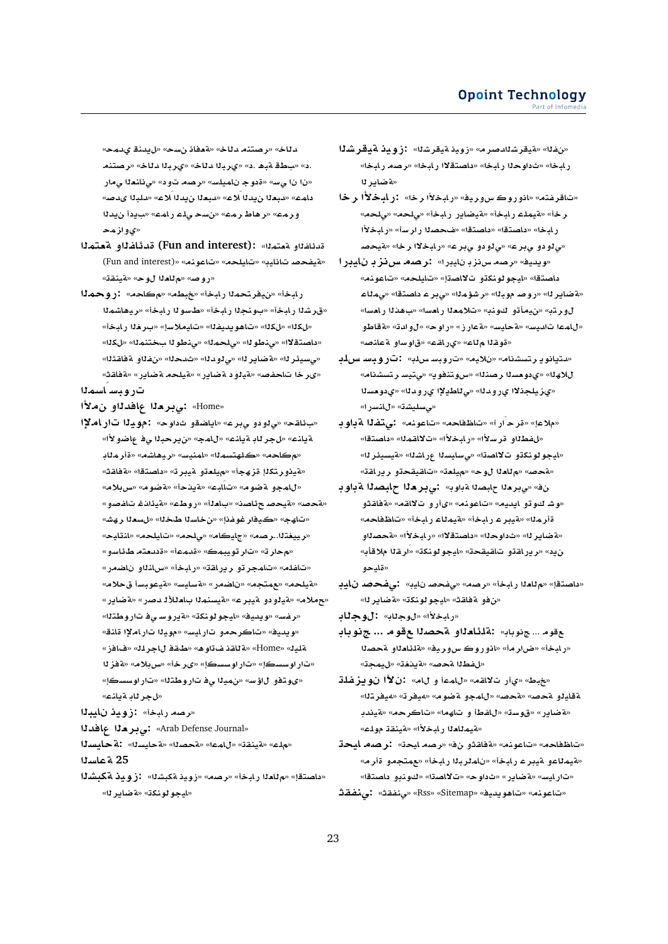«**md© nd§**» «**s A`T**» «**Ad ntOr**» «**Ad** .د» «باطة ةبا .د» «ىربانا دلاخ» «ىربانا دلاخ» «رصتنم «ن| ن| یٍسه «ةدوج ن|میلسه «رِصم تود» «یِنلنعللیِمار «**}d« bld**» «**®Á d§ `bd**» «**®Á d§ `bd**» «**mA**  ورمه» «رهاط رمه» «*نسحي*ك رامه» «بايدا نيدنا **mz¤©**»

- **mt`T ¤fA¶d (Fun and interest):** «**mt`T ¤fA¶d** (Fun and interest)» «**nwA**» «**lyA**» «**yAA }fyT**» «روصه» «م<sup>1</sup>ادا لوح» «متينقة»
- **mwC:** «**A**» «**Wb**» «**bAC mtry**» «**bAC** «قرشنا رابخأ» «بونجنا رابخأ» «طسونا رابخأ» «ريماشمنا «لكله» «لكله» «تاهو يديفله» «تايملاسإ» «بر**غ**لا رابخأ» «داصتةلاا» «ىنطوللا» «ىلحمللا» «ىنطوللبختنمللا» «لكلك» «م»سيئر لل<sup>» «</sup>مةضاير لل<sup>» «</sup>ي لو دلل<sup>» «ن</sup> دحل<sup>» «</sup>ن فله قاضة لله «ىر خا تلحفص» «قيلود ةضاير» «قيلحه ةضاير» «ةفاقث» تروبساسم<sup>1</sup>1
- **± ¤dA `r¨:** «Home»
- «بائاقح» «ي لودو ي برع» «اياضاقو ثداوح» : مويالا تار املاا «**±¤RA ¨ br§**» «**mA**» «**nA§T Ar**» «**nA§T Amr**» «**KA¡yr**» «**FynmA**» «**msthl**» «**A**» «<mark>A يذو ر تكل</mark>إ قز هجأ» «ميلعتو ميبر ت<sup>ه «</sup>داصتقا» «مقاقته» «للمجو هضوم» «تأليم» «هيدخأ» «هضوم» «س**ربلام**» «**¤حص» «¤يحصـ ح**ئلصن» «بـا**مـ**لـأ» «روطـم» «¤يـئـانــفـ تـافـصـو » «تاھج» «ڪيفار غوغذإ» «<mark>ن خاسئا طخئل» «لسعئا رھش</mark>» «**yAnA**» «**lyA**» «**l¨**» «**AyA**» «**Or**..**tyyr**» «**بم حار ت**» «تار تويبمك» «ةدمـّه» «ةددمتم طائاسو» «تاغله» «تامجر تو ريرافته «رابخأ» «سانداو ناضمر» «**® FbwyT**» «**FyAFT**» «**CSA** » «**tm**» «**lyT**» «حملام» «¤يلو دو ةيبر ع» «ةيسنملا با**م**للألا مصر » «ةضاير » «**رضس» «ويديف» «ليجو لونكة» «ةيروسي ف** تاروطتلا» «ويديف» «تاكرحمو تارايس» «موي**ن**ا تاراملإا قانة» «**EA**» «**lrA qX**» «**¡w qAT**» «Home» «**ylT zT**» «**®H**» «**r«**» «**sswC**» «**sswC**» «يو تفو لاؤس» «نميلا <sub>ي</sub> ف تاروطتلا» «تار اوسسك<u>ا</u>» «*لجر نابة يانت»*

«رصه رابخة» :زوي**دْ نايبـ**11

**dA `r¨:** «Arab Defense Journal»

**syAT:** «**syAT**» «**OT**» «**mA**» «**qnyT**» «**l**» **sAT 25**

«داصتقإ» «م<sup>ل</sup>املا رابخأ» «رصه» «زويذ ةكبشلا» **:زويذ ةكبشل**ا «**لليجو لو نكت» «4ضابر ل**ه»

- **KryT ywE:** «**KryT ywE**» «**r}dKryT**» «**f**» رابخا» «ثداوحلا رابخا» «<mark>داصتقلاا</mark> رابخا» «رصه رابخا» «**تضابر ن**ا
- «تاقرفته» «انوروڪ *سو*ريف» «رابخلاًا رخا» :ر**ابخلاًا رخا** ر خأ» «لقيملـم ر.ابـخأ» «لقيضاير ر.ابـخأ» «ي/حم» «ي.لحمه **±bAC**» «**FrC O**» «**tOA** » «**tOA** » «**bAC** «*بي* لو دو *ب*ِبر ع» «ي لو دو *بِ*بر عه «ر ابخلاا ر خا» «ةيحصا
- «ويدية» «رصه س نز بان يبر ا» : رصه س نز بان نايبر ا داصتقا» «ليجو لونكتو تلااصتإ» «تايلحه» «تاعونه» «aï ضاير له» «روصه موبله» «رشؤمله» «ي براع داصتقه» «يملاء لورتب<sup>ِ</sup>» «نيمأتو كونب<sup>ِ</sup>» «تلامعلا رامساً» «ب&ناا رامساً» **¤VAT**» «**d¤**» «**wC**» «**ECT**» «**FyAT**» «**Fyd mA**» «قوقلا م<sup>ل</sup>اع» «ي(اقت» «قاوساو قعانصه
- «**لىتيانويرتسشنام» «نلاي**م» «تروبسسرلب» :تروبسسرلد «**AKstr Fyt¨**» «**§wntwx**» «**nOr s`w ©**» «**h®** «ىزيلجذلاا ىرودنا» «ى *ن*اطيلاا ىرودنا» «ىدومسنا «مىسليشة» «للنسرا»
- **wT ft¨:** «**nwA**» «**A\A**» «**CÁ r**» «**®**» «للفطلاو قرسلاًا» «رابخلاًا» «تالالقملاً» «داصتقا» «ايجو لونكةو تلااصةا» «ىسايسةا عراشةا» «م*تيسي*ئر لـ» «قحص» «م<sup>ل</sup>لعلا لوح» «ميلعة» «تاقيقحةو ريراقة»
- **with ن**ف» «مابود» السابود» : ما يسترجعة المعالمة المعالمية المسابق المسابق المسابق المسابق المسابق المسابق المسابق «وشـ كوتو ايديم» «تاعونه» «ىأرو تلااقم» «ةفاقثو «**A\A**» «**bAC AmyT**» «**bAC ryT**» «**mr** «**¤ضابر ل**ا» «ثداوجلا» «داصتقلاا» «ر اسخلاًا» «**¤جص**لاو ن12» «ر ير اقـقو تـاقيـقحـق» «ليجو لونكـق» «ارـقـلا ملاقـأب» **¤yA**»

**yA }f¨:** «**yA }f¨**» «**Or**» «**bAC `A**» «**tOA** » «من فو لقافة» «ليجو لونكة» «لقضاير لله»

«رابخلأا» «لوجل**اب**» **: لوجل**اب

- مقوم ... جنوباب» :ةلمثلعذاو ةحصدا مقوم ... جنوباب «رابخأ» «ضار مأ» «انوروك س9رييف» «قلئلعناو قحصنا «*للفطلا لمحص»* «لاينغة» «*ليمج*ة»
- «خبط» «يiار تلااقه» «للمما و لله» :ن<mark>لاًا نويزغلة</mark> «**try¢**» «**ry¢**» «**wRT ¤mA**» «**}T**» «**}T ¤yAT** «aضاير» «قوسة» «للفطأ و تاهما» «تاكرحم» «ةيندب «**لقيم**للعلا رابخلاًا» «لقينقة مولم»

«تاظفاحه» «تاعونه» «ةفاقثو نف<sup>ه</sup> «رصه ايحة» **:رصه ايح**ڌ «هيمناعو هيبر عار بابخأ» «نامنر بنا رابخأ» «عمتجمو قأرام» «تار ليس» «aخناير» «ثداوح» «تلااصةا» «كونبو داصتقا» **qfn¨:** «**qfn¨**» «Rss» «Sitemap» «**yd§w¡A**» «**nwA**»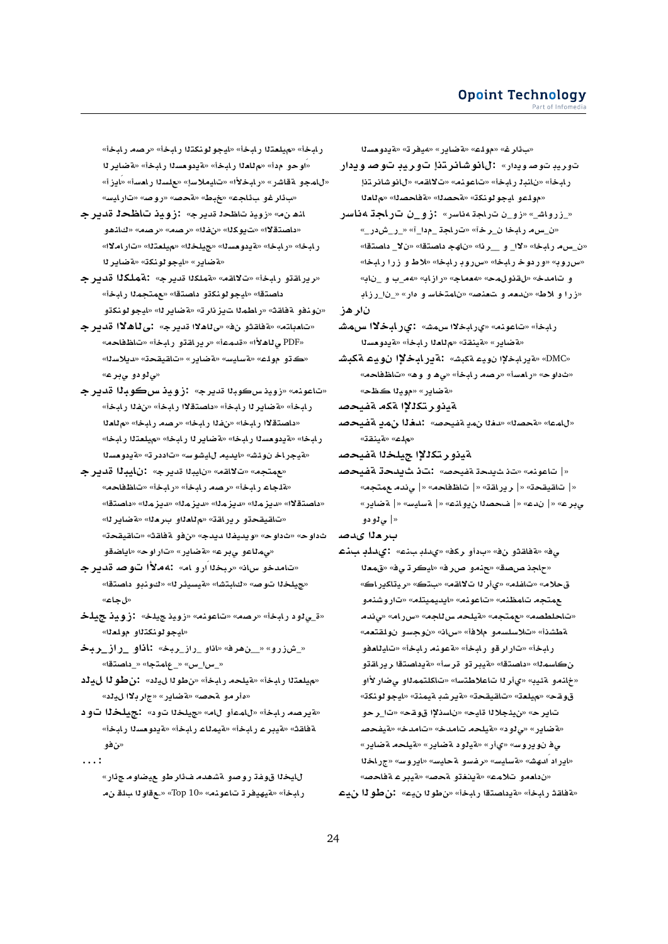ر لبخأ» «ميلعتنا ر لبخأ» «ليجو لونكتنا ر لبخأ» «رصه ر لبخأ» «اوحو مدأ» «مللعلا رابخأ» «ةيدومسلا رابخأ» «ةضاير لل «للمجو .ققاشر» «رليخلأا» «تليملاسإ» «علسنا رلعسأ» «ايزأ» «بِأر غو بِألجِم» «جُبِط» «Aهجمه» «روصه» «تارايسه»

- لنفانه» «زويذ تناظحة قديرج»  **:زويذ تناظحة قديرج** «داصتقلاا» «ت-يوكلا» «نفلاا» «رصه» «رصه» «كانهو رابخا» «رابخا» «**ةيدومسل**ا» «جيلخلا» «ميلمتلا» «تاراملاا» «**لةضاير» «ايجو لونكة» «لةضاير ل**ا
- «ريراقتو رابخأ» «تلااقم» «**قملك**لا قديرج» : قملكلا قديرج داصتقا» «ليجو لونكتو داصتقا» «عمتجم<sup>1</sup>ا رابخأ» «نونفو ةفاقث» «راطم<sup>ز</sup>ا تµز نار ت<sup>ه «</sup>4ضاير ل<sup>له «ل</sup>يجو لونكتو
- «تامباته» «ةفاقثو نف» «ى لاهلاا قديرج» :ى لـاهلاا قديرجـ «**A\A**» «**bAC ¤qAC§r**» «**md**» «**±¡A¨** PDF» «ك ڌو مولاء» «قسايس» «قضاير» «تاقيقح**ت» «ديلاس**لله «*عادودو ح*ير عه
- «تاعونه» «زويذ سڪوبڻا قديرج» <mark>:زويذ س</mark>ڪوبڻا قدير جـ ر.ابخأ» «**فضاير 11 ر.ابخأ» «داصتقلاا ر.ابخ**أ» «ن.فذا ر.ابخأ» «داصتقلاً رابخا» «نفذا رابخا» «رصه رابخا» «م<sup>ل</sup>ادنا رابخا» «ةيدومسنا رابخا» «ةضايرنا رابخا» «ميلمتنا رابخا» «هيجر اخ نوئش» «ايديه لليشوس» «تاددر ت<sup>ه «</sup>قيدومسلا
- **r§d byA :** «**r§d byA** » «**qA¯**» «**tm**» «هلجاء رايخأ» «**رصه رايخأ» «رايخأ» «تاظفاحه**» «<mark>داص</mark>تقلاً» «ديزملاً» «ديزملاً» «ديزمل</mark>ا» «داصتقاً» «تاقيقحڌو ريراقة» «م<sup>1</sup>اداو بردل<sup>ا» «</sup>ةضاير ل<sup>ه</sup>» «**qyqA**» «**qAT ¤**» «**d§d fyd§w**» «**w** » «**w ¤SA§A**» «**wC**» «**C§ART**» «**r¨ ¤Am¨**»
- «تامدخو سان<sup>ه «</sup>ربخلا ارو ام» :4ملأا توصه قديرج «جيلخلا توص» «كابتشا» «قيسيئر لله «كونبو داصتقا» «**ل جاع»**
- **ly ywE:** «**ly ywE**» «**nwA**» «**Or**» «**bAC ¤¨**\_» «**ايجو لونكت**لاو مولعل<sup>ا»</sup>

«\_شزرو» «\_ ن هرفه «اذاو\_راز\_ريخه :**اذاو -راز\_ريخ** «\_*س*ا\_س» «\_عِلمتجا» «\_داصتقا»

- «مهيلعتنا رابخاً» «قيلحه رابخاً» «نطونا ل، إنه من تصون الملين «مأر مو لقحص» «لقضاير» «جار بـلاا لµلد»
- «قيرصه رابخأ» «للممأو لله» «جيلخلا تود» : جيلخلا تود ةفلقث» «<mark>قيبر ع رابخأ» «قيملاع رابخأ» «قيدومسلا</mark> رابخأ» **¤**»
- **. . . :**

<mark>لليخ</mark>لا قوغة روصو ةشهدم ف**أرطو عيضاوم ج**ئار» ر ابخأ» «مقيهيفر تـ تـاعونـهـ» «Top 10» «.عقاو لـا بـالـقــن مـ **s`w §T**» «**ry¢**» «**C§ART**» «**lw**» «**r¶** »

- توريڊ توصويدار» **: لانوشائر ڌذإ توريڊ توصويدار** رابخأ» «نانبذ رابخأ» «تاعونه» «تلالقه» «لانوشانرتذإ «مولمو ليجو لونكة» «**محصنا» «مقاحصنا» «م**للعلا
- «\_زرواش\_» «زو\_ن تراجة ۵ناسر» :زو\_ن ترا**ج**ة ۵ناسر «ن\_سه رابخا ن\_رخآ» «تراجة \_مدا\_آ» «\_ر\_شدر\_» «ن\_س.م ر.ابخا» «لاا\_ و\_\_ر.ذا» «ناهج داصتقا» «نلا\_ داصتقا» «**سرروبه «وردوخ رابخا» «سرروب رابخا» «لاط و زرا رابخا»** و تام*د*خ» «لقذولمح» «معماج» «رازابه «مم\_ب و \_نابه «زرا و لاط» «ندمه و تعنصه «نامتخاسه و مار» «\_نا\_رزابه

نار هز

- رابخاً» «تاعونه» «ىرابخلاا س.مش» **:ىرابخلاا س.مش** «**فضاير» «فينقت» «م**للعلا رابخأ» «فيدومسلا
- «DMC» «**تيرابخلاا نوي**ء تكبش» :ةير **ابخلاا نوي**ء تكبشا «شداوح» «رامساً» «رصه رابخاً» «ی۵ و و۵» «تاظفاحه» «**ه ضابر » «مويزا ڪظح**»

ةيذو ر تكل<sup>ي</sup>ا 12م ةفيحص

«للمما» «قحصلل» «تخلل نمية قيحصه» **:تخل**ل نهمية قيحصه «**مل**اع» «**لاينق**ڌ»

- لقيذو ر تكللاً! جيلخل**ا ل**قفيحص
- «| تاعونه» «تان شيدحة ةفيحصه» **:تان شيلحك القضيحص** «| تاقيقحة» «| ر بر اقة» «| تاظفاحه» «| ي ندم عمتحه» «**C§ART** |» «**FyAFT** |» «**nA¤§ O** |» «**d**  |» «**r¨** «| ئ**1**ودو
- ب**ار د**لا ىدصد
- ي؋» «¤فاقثو ن؋» «بدأو ركف» «يµلڊ بند<mark>ء» :يµلڊ بندء</mark> «حاجذ صصدق» «جنمو صرر ف» «ليكر تي ف» «قمعلا قحلام» «تافلم» «يأر لـ تلالقم» «بتك» «ريتاكيراك» **¤nKwC**» «**ltymyd§A**» «**nwA**» «**n\mA tm** «تاحلطصه» «مهمتجه» «هیلحه س للجه» «س راه» «ی نده ةطشذأ» «تلاسلسمو ملافأ» «سان» «نوجسو نولقتعم» ر ابخأ» «تار ار قو ر ابخأ» «aعونه ر ابخأ» «تايلل**د**فو ن *كاسم*ـ1» «داصـتـقا» «4يـبر تو قر سـأ» «ةـيداصـتـقا ـر يـر القـتـو «خِلنمو aثيب» «يأر لـ تاعلاطتسا» «تاكلتممللو *ي*ضار لأاو قوقح» «ميلعة» «تاقيقحة» «قيرشد قيمنة» «ايجو لونكة» تاير ح» «نيئجلالا قليح» «ناسذلإا قوقح» «تا\_ر حو «<mark>ةضاير» «ي لو د» «ةيلحه تامدخ» «تامدخ» «ةيفحص</mark> ى ف نويروس» «ىأر» «**تيلود ةضاير» «تيلحه ةضاير»** «اير اد ادهش» «**تسليس» «رفسو ت**تحليسه «ايروسه «جراخلا «نداممو تلامم» «قينغتو محصه «م<sub>ُ</sub>يبر عـ مقاحصه «قاقة رابخأ» «قيداصتةا رابخأ» «نطولا نيم» : **نطول**ا نيم